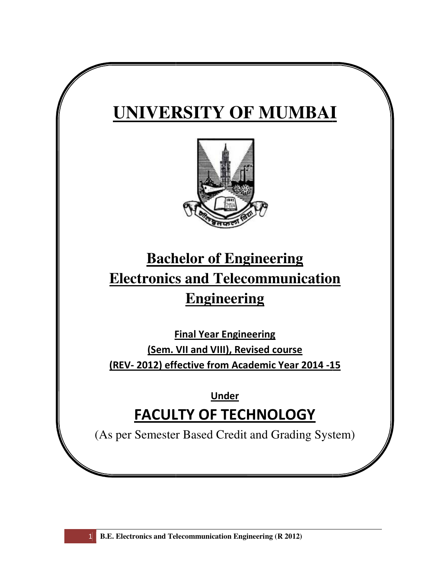# **UNIVERSITY OF MUMBAI**



# **Bachelor of of Engineering Electronics and Telecommunication (R )**<br>
(R )<br>
(R )<br>
(R )<br>
(R ) **Engineering**

**Final Year Engineering** (Sem. VII and VIII), Revised course (REV- 2012) effective from Academic Year 2014 -15

# FACULTY OF TECHNOLOGY **Under**

(As per Semester Based Credit and Grading System)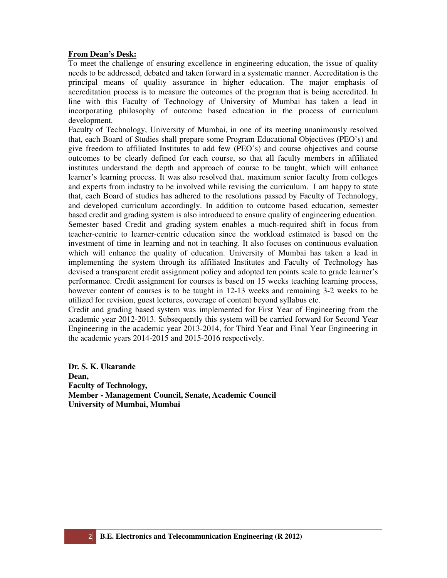# **From Dean's Desk:**

To meet the challenge of ensuring excellence in engineering education, the issue of quality needs to be addressed, debated and taken forward in a systematic manner. Accreditation is the principal means of quality assurance in higher education. The major emphasis of accreditation process is to measure the outcomes of the program that is being accredited. In line with this Faculty of Technology of University of Mumbai has taken a lead in incorporating philosophy of outcome based education in the process of curriculum development.

Faculty of Technology, University of Mumbai, in one of its meeting unanimously resolved that, each Board of Studies shall prepare some Program Educational Objectives (PEO's) and give freedom to affiliated Institutes to add few (PEO's) and course objectives and course outcomes to be clearly defined for each course, so that all faculty members in affiliated institutes understand the depth and approach of course to be taught, which will enhance learner's learning process. It was also resolved that, maximum senior faculty from colleges and experts from industry to be involved while revising the curriculum. I am happy to state that, each Board of studies has adhered to the resolutions passed by Faculty of Technology, and developed curriculum accordingly. In addition to outcome based education, semester based credit and grading system is also introduced to ensure quality of engineering education. Semester based Credit and grading system enables a much-required shift in focus from teacher-centric to learner-centric education since the workload estimated is based on the investment of time in learning and not in teaching. It also focuses on continuous evaluation which will enhance the quality of education. University of Mumbai has taken a lead in implementing the system through its affiliated Institutes and Faculty of Technology has devised a transparent credit assignment policy and adopted ten points scale to grade learner's performance. Credit assignment for courses is based on 15 weeks teaching learning process, however content of courses is to be taught in 12-13 weeks and remaining 3-2 weeks to be utilized for revision, guest lectures, coverage of content beyond syllabus etc.

Credit and grading based system was implemented for First Year of Engineering from the academic year 2012-2013. Subsequently this system will be carried forward for Second Year Engineering in the academic year 2013-2014, for Third Year and Final Year Engineering in the academic years 2014-2015 and 2015-2016 respectively.

**Dr. S. K. Ukarande Dean, Faculty of Technology, Member - Management Council, Senate, Academic Council University of Mumbai, Mumbai**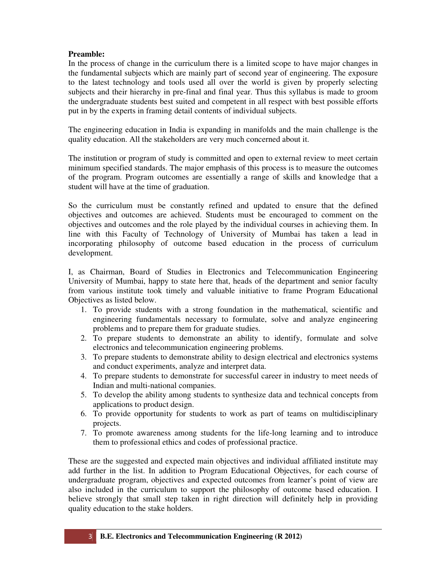# **Preamble:**

In the process of change in the curriculum there is a limited scope to have major changes in the fundamental subjects which are mainly part of second year of engineering. The exposure to the latest technology and tools used all over the world is given by properly selecting subjects and their hierarchy in pre-final and final year. Thus this syllabus is made to groom the undergraduate students best suited and competent in all respect with best possible efforts put in by the experts in framing detail contents of individual subjects.

The engineering education in India is expanding in manifolds and the main challenge is the quality education. All the stakeholders are very much concerned about it.

The institution or program of study is committed and open to external review to meet certain minimum specified standards. The major emphasis of this process is to measure the outcomes of the program. Program outcomes are essentially a range of skills and knowledge that a student will have at the time of graduation.

So the curriculum must be constantly refined and updated to ensure that the defined objectives and outcomes are achieved. Students must be encouraged to comment on the objectives and outcomes and the role played by the individual courses in achieving them. In line with this Faculty of Technology of University of Mumbai has taken a lead in incorporating philosophy of outcome based education in the process of curriculum development.

I, as Chairman, Board of Studies in Electronics and Telecommunication Engineering University of Mumbai, happy to state here that, heads of the department and senior faculty from various institute took timely and valuable initiative to frame Program Educational Objectives as listed below.

- 1. To provide students with a strong foundation in the mathematical, scientific and engineering fundamentals necessary to formulate, solve and analyze engineering problems and to prepare them for graduate studies.
- 2. To prepare students to demonstrate an ability to identify, formulate and solve electronics and telecommunication engineering problems.
- 3. To prepare students to demonstrate ability to design electrical and electronics systems and conduct experiments, analyze and interpret data.
- 4. To prepare students to demonstrate for successful career in industry to meet needs of Indian and multi-national companies.
- 5. To develop the ability among students to synthesize data and technical concepts from applications to product design.
- 6. To provide opportunity for students to work as part of teams on multidisciplinary projects.
- 7. To promote awareness among students for the life-long learning and to introduce them to professional ethics and codes of professional practice.

These are the suggested and expected main objectives and individual affiliated institute may add further in the list. In addition to Program Educational Objectives, for each course of undergraduate program, objectives and expected outcomes from learner's point of view are also included in the curriculum to support the philosophy of outcome based education. I believe strongly that small step taken in right direction will definitely help in providing quality education to the stake holders.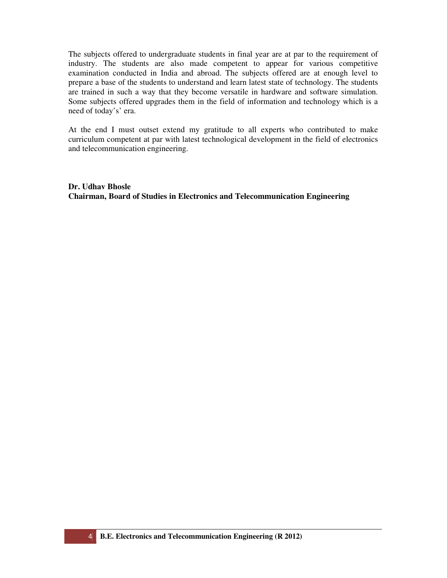The subjects offered to undergraduate students in final year are at par to the requirement of industry. The students are also made competent to appear for various competitive examination conducted in India and abroad. The subjects offered are at enough level to prepare a base of the students to understand and learn latest state of technology. The students are trained in such a way that they become versatile in hardware and software simulation. Some subjects offered upgrades them in the field of information and technology which is a need of today's' era.

At the end I must outset extend my gratitude to all experts who contributed to make curriculum competent at par with latest technological development in the field of electronics and telecommunication engineering.

**Dr. Udhav Bhosle Chairman, Board of Studies in Electronics and Telecommunication Engineering**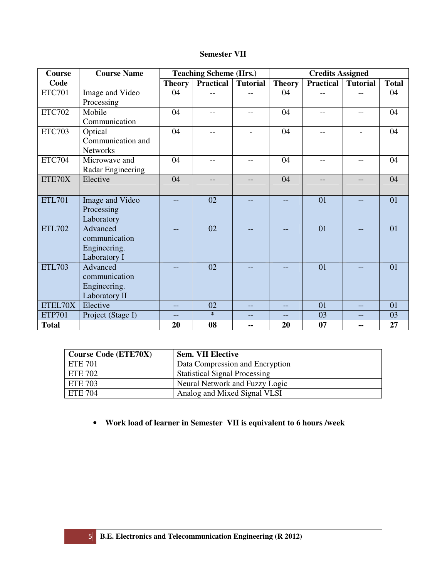| <b>Semester VII</b> |  |
|---------------------|--|
|---------------------|--|

| <b>Course</b> | <b>Course Name</b> |               | <b>Teaching Scheme (Hrs.)</b> |                          |               | <b>Credits Assigned</b> |                 |              |
|---------------|--------------------|---------------|-------------------------------|--------------------------|---------------|-------------------------|-----------------|--------------|
| Code          |                    | <b>Theory</b> | <b>Practical</b>              | <b>Tutorial</b>          | <b>Theory</b> | <b>Practical</b>        | <b>Tutorial</b> | <b>Total</b> |
| <b>ETC701</b> | Image and Video    | 04            | $-$                           |                          | 04            | $-$                     |                 | 04           |
|               | Processing         |               |                               |                          |               |                         |                 |              |
| <b>ETC702</b> | Mobile             | 04            | $-$                           | $-$                      | 04            | $- -$                   | $-$             | 04           |
|               | Communication      |               |                               |                          |               |                         |                 |              |
| <b>ETC703</b> | Optical            | 04            | $-$                           | $\overline{\phantom{0}}$ | 04            | $-\,-$                  | $\blacksquare$  | 04           |
|               | Communication and  |               |                               |                          |               |                         |                 |              |
|               | Networks           |               |                               |                          |               |                         |                 |              |
| <b>ETC704</b> | Microwave and      | 04            | $-$                           | $-$                      | 04            | $-$                     | $-$             | 04           |
|               | Radar Engineering  |               |                               |                          |               |                         |                 |              |
| ETE70X        | Elective           | 04            | --                            |                          | 04            | --                      |                 | 04           |
|               |                    |               |                               |                          |               |                         |                 |              |
| <b>ETL701</b> | Image and Video    |               | 02                            |                          |               | 01                      |                 | 01           |
|               | Processing         |               |                               |                          |               |                         |                 |              |
|               | Laboratory         |               |                               |                          |               |                         |                 |              |
| <b>ETL702</b> | Advanced           |               | 02                            |                          |               | 01                      |                 | 01           |
|               | communication      |               |                               |                          |               |                         |                 |              |
|               | Engineering.       |               |                               |                          |               |                         |                 |              |
|               | Laboratory I       |               |                               |                          |               |                         |                 |              |
| <b>ETL703</b> | Advanced           |               | 02                            |                          |               | 01                      |                 | 01           |
|               | communication      |               |                               |                          |               |                         |                 |              |
|               | Engineering.       |               |                               |                          |               |                         |                 |              |
|               | Laboratory II      |               |                               |                          |               |                         |                 |              |
| ETEL70X       | Elective           | $-$           | 02                            | $-$                      |               | 01                      | $-$             | 01           |
| <b>ETP701</b> | Project (Stage I)  | $-$           | $\ast$                        | $-$                      |               | 03                      | --              | 03           |
| <b>Total</b>  |                    | 20            | 08                            | --                       | 20            | 07                      | --              | 27           |

| <b>Course Code (ETE70X)</b> | <b>Sem. VII Elective</b>             |
|-----------------------------|--------------------------------------|
| ETE 701                     | Data Compression and Encryption      |
| ETE 702                     | <b>Statistical Signal Processing</b> |
| ETE 703                     | Neural Network and Fuzzy Logic       |
| <b>ETE 704</b>              | Analog and Mixed Signal VLSI         |

• **Work load of learner in Semester VII is equivalent to 6 hours /week**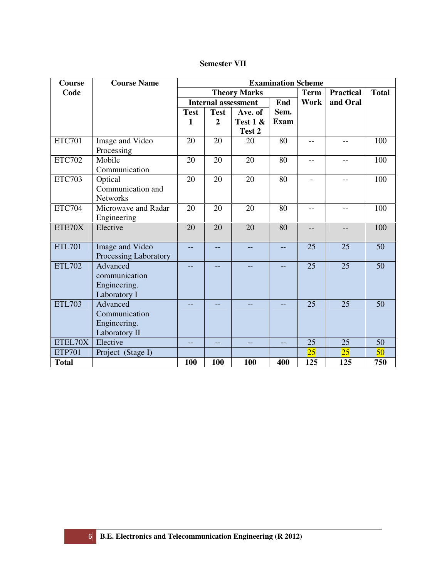| <b>Semester VII</b> |  |
|---------------------|--|
|---------------------|--|

| <b>Course</b> | <b>Course Name</b>    | <b>Examination Scheme</b> |                |                            |             |             |                  |              |  |
|---------------|-----------------------|---------------------------|----------------|----------------------------|-------------|-------------|------------------|--------------|--|
| Code          |                       |                           |                | <b>Theory Marks</b>        |             | <b>Term</b> | <b>Practical</b> | <b>Total</b> |  |
|               |                       |                           |                | <b>Internal assessment</b> | End         | Work        | and Oral         |              |  |
|               |                       | <b>Test</b>               | <b>Test</b>    | Ave. of                    | Sem.        |             |                  |              |  |
|               |                       | 1                         | $\overline{2}$ | Test 1 &                   | <b>Exam</b> |             |                  |              |  |
|               |                       |                           |                | Test 2                     |             |             |                  |              |  |
| <b>ETC701</b> | Image and Video       | 20                        | 20             | 20                         | 80          |             |                  | 100          |  |
|               | Processing            |                           |                |                            |             |             |                  |              |  |
| <b>ETC702</b> | Mobile                | 20                        | 20             | 20                         | 80          | $-$         |                  | 100          |  |
|               | Communication         |                           |                |                            |             |             |                  |              |  |
| <b>ETC703</b> | Optical               | 20                        | 20             | 20                         | 80          |             |                  | 100          |  |
|               | Communication and     |                           |                |                            |             |             |                  |              |  |
|               | <b>Networks</b>       |                           |                |                            |             |             |                  |              |  |
| <b>ETC704</b> | Microwave and Radar   | 20                        | 20             | 20                         | 80          | $-$         | --               | 100          |  |
|               | Engineering           |                           |                |                            |             |             |                  |              |  |
| ETE70X        | Elective              | 20                        | 20             | 20                         | 80          |             |                  | 100          |  |
|               |                       |                           |                |                            |             |             |                  |              |  |
| <b>ETL701</b> | Image and Video       | $-$                       |                | --                         | --          | 25          | 25               | 50           |  |
|               | Processing Laboratory |                           |                |                            |             |             |                  |              |  |
| <b>ETL702</b> | Advanced              | --                        | --             | --                         |             | 25          | 25               | 50           |  |
|               | communication         |                           |                |                            |             |             |                  |              |  |
|               | Engineering.          |                           |                |                            |             |             |                  |              |  |
|               | Laboratory I          |                           |                |                            |             |             |                  |              |  |
| <b>ETL703</b> | Advanced              |                           |                |                            |             | 25          | 25               | 50           |  |
|               | Communication         |                           |                |                            |             |             |                  |              |  |
|               | Engineering.          |                           |                |                            |             |             |                  |              |  |
|               | Laboratory II         |                           |                |                            |             |             |                  |              |  |
| ETEL70X       | Elective              | $-$                       |                | $-$                        | $-$         | 25          | 25               | 50           |  |
| <b>ETP701</b> | Project (Stage I)     |                           |                |                            |             | 25          | 25               | 50           |  |
| <b>Total</b>  |                       | 100                       | 100            | 100                        | 400         | 125         | 125              | 750          |  |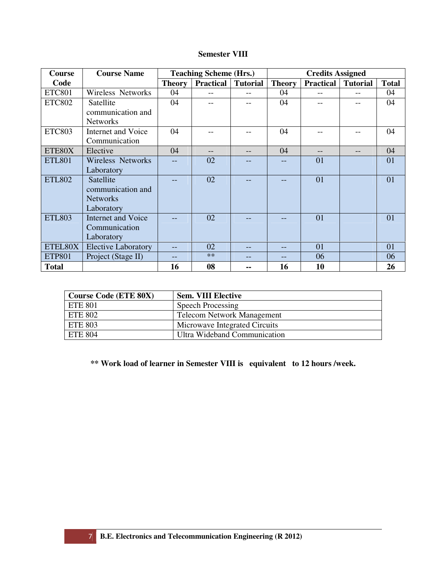# **Semester VIII**

| Course        | <b>Course Name</b>         |               | <b>Teaching Scheme (Hrs.)</b> |                 |               | <b>Credits Assigned</b> |                 |              |
|---------------|----------------------------|---------------|-------------------------------|-----------------|---------------|-------------------------|-----------------|--------------|
| Code          |                            | <b>Theory</b> | <b>Practical</b>              | <b>Tutorial</b> | <b>Theory</b> | <b>Practical</b>        | <b>Tutorial</b> | <b>Total</b> |
| <b>ETC801</b> | Wireless Networks          | 04            |                               |                 | 04            |                         |                 | 04           |
| <b>ETC802</b> | Satellite                  | 04            |                               |                 | 04            |                         |                 | 04           |
|               | communication and          |               |                               |                 |               |                         |                 |              |
|               | <b>Networks</b>            |               |                               |                 |               |                         |                 |              |
| <b>ETC803</b> | <b>Internet and Voice</b>  | 04            |                               |                 | 04            |                         |                 | 04           |
|               | Communication              |               |                               |                 |               |                         |                 |              |
| ETE80X        | Elective                   | 04            |                               |                 | 04            |                         |                 | 04           |
| <b>ETL801</b> | <b>Wireless Networks</b>   |               | 02                            |                 |               | 01                      |                 | 01           |
|               | Laboratory                 |               |                               |                 |               |                         |                 |              |
| <b>ETL802</b> | Satellite                  |               | 02                            |                 |               | 01                      |                 | 01           |
|               | communication and          |               |                               |                 |               |                         |                 |              |
|               | <b>Networks</b>            |               |                               |                 |               |                         |                 |              |
|               | Laboratory                 |               |                               |                 |               |                         |                 |              |
| <b>ETL803</b> | <b>Internet and Voice</b>  |               | 02                            |                 |               | 01                      |                 | 01           |
|               | Communication              |               |                               |                 |               |                         |                 |              |
|               | Laboratory                 |               |                               |                 |               |                         |                 |              |
| ETEL80X       | <b>Elective Laboratory</b> |               | 02                            |                 |               | 01                      |                 | 01           |
| <b>ETP801</b> | Project (Stage II)         |               | $**$                          |                 |               | 06                      |                 | 06           |
| <b>Total</b>  |                            | 16            | 08                            |                 | 16            | 10                      |                 | 26           |

| <b>Course Code (ETE 80X)</b> | <b>Sem. VIII Elective</b>         |
|------------------------------|-----------------------------------|
| ETE 801                      | Speech Processing                 |
| ETE 802                      | <b>Telecom Network Management</b> |
| <b>ETE 803</b>               | Microwave Integrated Circuits     |
| ETE 804                      | Ultra Wideband Communication      |

# **\*\* Work load of learner in Semester VIII is equivalent to 12 hours /week.**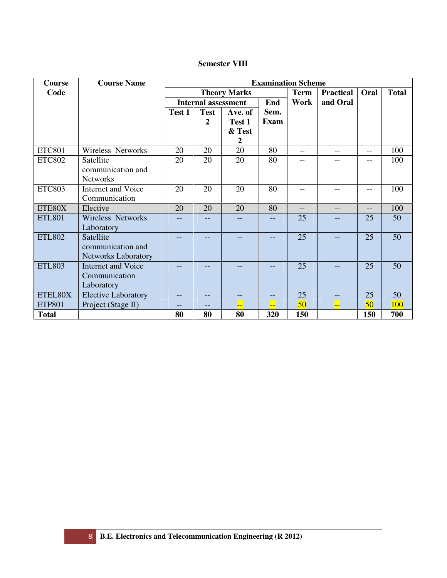# **Semester VIII**

| <b>Course</b> | <b>Course Name</b>                                           |        |                            |                                                 |                     | <b>Examination Scheme</b> |                  |                   |              |
|---------------|--------------------------------------------------------------|--------|----------------------------|-------------------------------------------------|---------------------|---------------------------|------------------|-------------------|--------------|
| Code          |                                                              |        |                            | <b>Theory Marks</b>                             |                     | <b>Term</b>               | <b>Practical</b> | Oral              | <b>Total</b> |
|               |                                                              |        | <b>Internal assessment</b> |                                                 | End                 | Work                      | and Oral         |                   |              |
|               |                                                              | Test 1 | <b>Test</b><br>2           | Ave. of<br>Test 1<br>& Test<br>$\boldsymbol{2}$ | Sem.<br><b>Exam</b> |                           |                  |                   |              |
| <b>ETC801</b> | Wireless Networks                                            | 20     | 20                         | 20                                              | 80                  | $-$                       |                  | $\qquad \qquad -$ | 100          |
| <b>ETC802</b> | Satellite<br>communication and<br><b>Networks</b>            | 20     | 20                         | 20                                              | 80                  |                           |                  | --                | 100          |
| <b>ETC803</b> | <b>Internet and Voice</b><br>Communication                   | 20     | 20                         | 20                                              | 80                  | $-$                       |                  | $\qquad \qquad -$ | 100          |
| ETE80X        | Elective                                                     | 20     | 20                         | 20                                              | 80                  | $\qquad \qquad -$         |                  | $- -$             | 100          |
| <b>ETL801</b> | Wireless Networks<br>Laboratory                              | $-$    | --                         | $- -$                                           | $-$                 | 25                        |                  | 25                | 50           |
| <b>ETL802</b> | Satellite<br>communication and<br><b>Networks Laboratory</b> |        |                            |                                                 | $- -$               | 25                        |                  | 25                | 50           |
| <b>ETL803</b> | <b>Internet and Voice</b><br>Communication<br>Laboratory     |        |                            |                                                 |                     | 25                        |                  | 25                | 50           |
| ETEL80X       | <b>Elective Laboratory</b>                                   |        | --                         |                                                 | --                  | 25                        | --               | 25                | 50           |
| <b>ETP801</b> | Project (Stage II)                                           | --     |                            |                                                 |                     | 50                        | H                | 50 <sup>°</sup>   | 100          |
| <b>Total</b>  |                                                              | 80     | 80                         | 80                                              | 320                 | 150                       |                  | 150               | 700          |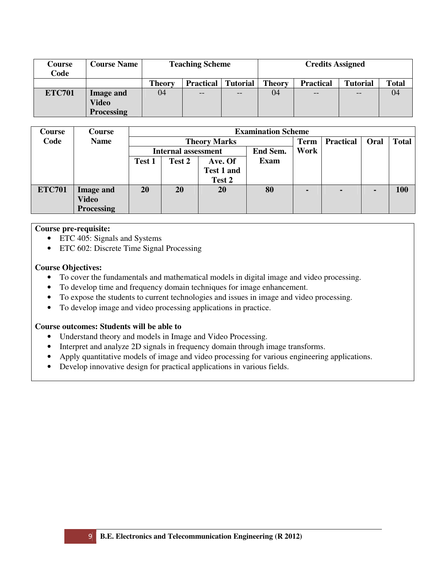| Course<br>Code | <b>Course Name</b>                             |               | <b>Teaching Scheme</b><br><b>Credits Assigned</b><br><b>Theory</b><br><b>Tutorial</b><br><b>Tutorial</b><br><b>Practical</b><br><b>Practical</b><br>04<br>$-$<br>$- -$<br>$- -$<br>$- -$ |  |  |  |  |              |
|----------------|------------------------------------------------|---------------|------------------------------------------------------------------------------------------------------------------------------------------------------------------------------------------|--|--|--|--|--------------|
|                |                                                | <b>Theory</b> |                                                                                                                                                                                          |  |  |  |  | <b>Total</b> |
| <b>ETC701</b>  | <b>Image and</b><br>Video<br><b>Processing</b> | 04            |                                                                                                                                                                                          |  |  |  |  | 04           |

| Course        | Course            |        | <b>Examination Scheme</b>              |                     |             |             |                  |      |              |
|---------------|-------------------|--------|----------------------------------------|---------------------|-------------|-------------|------------------|------|--------------|
| Code          | <b>Name</b>       |        |                                        | <b>Theory Marks</b> |             | <b>Term</b> | <b>Practical</b> | Oral | <b>Total</b> |
|               |                   |        | End Sem.<br><b>Internal assessment</b> |                     |             | Work        |                  |      |              |
|               |                   | Test 1 | Test 2                                 | Ave. Of             | <b>Exam</b> |             |                  |      |              |
|               |                   |        |                                        | <b>Test 1 and</b>   |             |             |                  |      |              |
|               |                   |        |                                        | Test 2              |             |             |                  |      |              |
| <b>ETC701</b> | <b>Image and</b>  | 20     | <b>20</b>                              | 20                  | 80          |             | $\blacksquare$   |      | 100          |
|               | <b>Video</b>      |        |                                        |                     |             |             |                  |      |              |
|               | <b>Processing</b> |        |                                        |                     |             |             |                  |      |              |

# **Course pre-requisite:**

- ETC 405: Signals and Systems
- ETC 602: Discrete Time Signal Processing

# **Course Objectives:**

- To cover the fundamentals and mathematical models in digital image and video processing.
- To develop time and frequency domain techniques for image enhancement.
- To expose the students to current technologies and issues in image and video processing.
- To develop image and video processing applications in practice.

# **Course outcomes: Students will be able to**

- Understand theory and models in Image and Video Processing.
- Interpret and analyze 2D signals in frequency domain through image transforms.
- Apply quantitative models of image and video processing for various engineering applications.
- Develop innovative design for practical applications in various fields.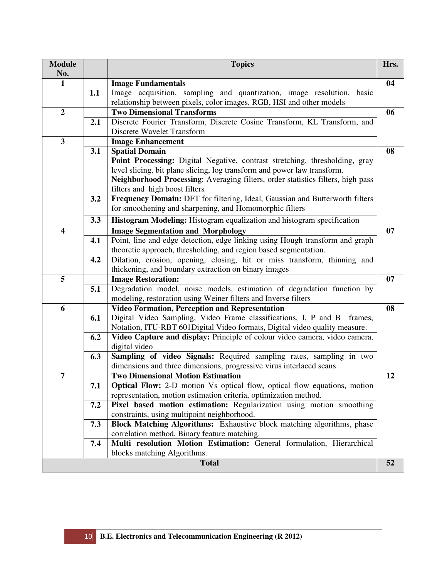| <b>Module</b><br>No.    |     | <b>Topics</b>                                                                                                                    | Hrs. |
|-------------------------|-----|----------------------------------------------------------------------------------------------------------------------------------|------|
| 1                       |     | <b>Image Fundamentals</b>                                                                                                        | 04   |
|                         | 1.1 | Image acquisition, sampling and quantization, image resolution, basic                                                            |      |
|                         |     | relationship between pixels, color images, RGB, HSI and other models                                                             |      |
| $\boldsymbol{2}$        |     | <b>Two Dimensional Transforms</b>                                                                                                | 06   |
|                         | 2.1 | Discrete Fourier Transform, Discrete Cosine Transform, KL Transform, and                                                         |      |
|                         |     | Discrete Wavelet Transform                                                                                                       |      |
| $\mathbf{3}$            |     | <b>Image Enhancement</b>                                                                                                         |      |
|                         | 3.1 | <b>Spatial Domain</b><br>Point Processing: Digital Negative, contrast stretching, thresholding, gray                             | 08   |
|                         |     | level slicing, bit plane slicing, log transform and power law transform.                                                         |      |
|                         |     | Neighborhood Processing: Averaging filters, order statistics filters, high pass                                                  |      |
|                         |     | filters and high boost filters                                                                                                   |      |
|                         | 3.2 | Frequency Domain: DFT for filtering, Ideal, Gaussian and Butterworth filters                                                     |      |
|                         |     | for smoothening and sharpening, and Homomorphic filters                                                                          |      |
|                         | 3.3 | Histogram Modeling: Histogram equalization and histogram specification                                                           |      |
| $\overline{\mathbf{4}}$ |     | <b>Image Segmentation and Morphology</b>                                                                                         | 07   |
|                         | 4.1 | Point, line and edge detection, edge linking using Hough transform and graph                                                     |      |
|                         |     | theoretic approach, thresholding, and region based segmentation.                                                                 |      |
|                         | 4.2 | Dilation, erosion, opening, closing, hit or miss transform, thinning and                                                         |      |
|                         |     | thickening, and boundary extraction on binary images                                                                             |      |
| 5                       |     | <b>Image Restoration:</b>                                                                                                        | 07   |
|                         | 5.1 | Degradation model, noise models, estimation of degradation function by                                                           |      |
|                         |     | modeling, restoration using Weiner filters and Inverse filters                                                                   | 08   |
| 6                       | 6.1 | <b>Video Formation, Perception and Representation</b><br>Digital Video Sampling, Video Frame classifications, I, P and B frames, |      |
|                         |     | Notation, ITU-RBT 601Digital Video formats, Digital video quality measure.                                                       |      |
|                         | 6.2 | Video Capture and display: Principle of colour video camera, video camera,                                                       |      |
|                         |     | digital video                                                                                                                    |      |
|                         | 6.3 | Sampling of video Signals: Required sampling rates, sampling in two                                                              |      |
|                         |     | dimensions and three dimensions, progressive virus interlaced scans                                                              |      |
| $\overline{7}$          |     | <b>Two Dimensional Motion Estimation</b>                                                                                         | 12   |
|                         | 7.1 | <b>Optical Flow:</b> 2-D motion Vs optical flow, optical flow equations, motion                                                  |      |
|                         |     | representation, motion estimation criteria, optimization method.                                                                 |      |
|                         | 7.2 | Pixel based motion estimation: Regularization using motion smoothing                                                             |      |
|                         |     | constraints, using multipoint neighborhood.                                                                                      |      |
|                         | 7.3 | <b>Block Matching Algorithms:</b> Exhaustive block matching algorithms, phase                                                    |      |
|                         |     | correlation method, Binary feature matching.                                                                                     |      |
|                         | 7.4 | Multi resolution Motion Estimation: General formulation, Hierarchical<br>blocks matching Algorithms.                             |      |
|                         |     | <b>Total</b>                                                                                                                     | 52   |
|                         |     |                                                                                                                                  |      |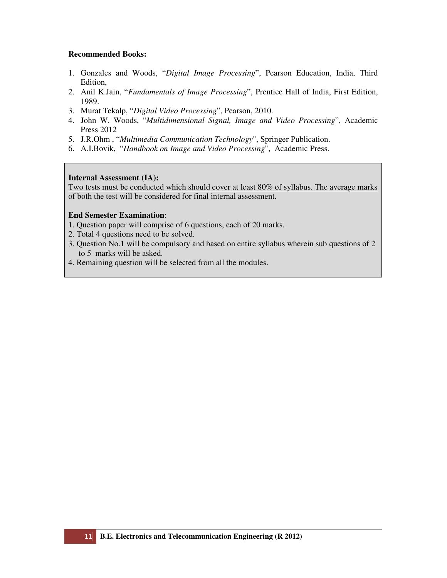- 1. Gonzales and Woods, "*Digital Image Processing*", Pearson Education, India, Third Edition,
- 2. Anil K.Jain, "*Fundamentals of Image Processing*", Prentice Hall of India, First Edition, 1989.
- 3. Murat Tekalp, "*Digital Video Processing*", Pearson, 2010.
- 4. John W. Woods, "*Multidimensional Signal, Image and Video Processing*", Academic Press 2012
- 5. J.R.Ohm , "*Multimedia Communication Technology*", Springer Publication.
- 6. A.I.Bovik, "*Handbook on Image and Video Processing*", Academic Press.

# **Internal Assessment (IA):**

Two tests must be conducted which should cover at least 80% of syllabus. The average marks of both the test will be considered for final internal assessment.

- 1. Question paper will comprise of 6 questions, each of 20 marks.
- 2. Total 4 questions need to be solved.
- 3. Question No.1 will be compulsory and based on entire syllabus wherein sub questions of 2 to 5 marks will be asked.
- 4. Remaining question will be selected from all the modules.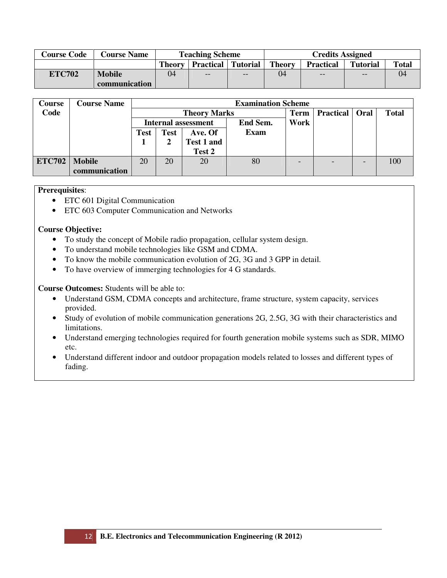| <b>Course Code</b> | <b>Course Name</b> | <b>Teaching Scheme</b> |                           |     |               | <b>Credits Assigned</b> |                 |              |
|--------------------|--------------------|------------------------|---------------------------|-----|---------------|-------------------------|-----------------|--------------|
|                    |                    | <b>Theory</b>          | <b>Practical</b> Tutorial |     | <b>Theory</b> | <b>Practical</b>        | <b>Tutorial</b> | <b>Total</b> |
| <b>ETC702</b>      | <b>Mobile</b>      | 04                     | $- -$                     | $-$ | 04            | $-$                     | $- -$           | 04           |
|                    | communication      |                        |                           |     |               |                         |                 |              |

| Course        | <b>Course Name</b> |                            | <b>Examination Scheme</b> |            |          |      |                  |      |              |  |
|---------------|--------------------|----------------------------|---------------------------|------------|----------|------|------------------|------|--------------|--|
| Code          |                    |                            | <b>Theory Marks</b>       |            |          |      | <b>Practical</b> | Oral | <b>Total</b> |  |
|               |                    | <b>Internal assessment</b> |                           |            | End Sem. | Work |                  |      |              |  |
|               |                    | <b>Test</b>                | <b>Test</b>               | Ave. Of    | Exam     |      |                  |      |              |  |
|               |                    |                            |                           | Test 1 and |          |      |                  |      |              |  |
|               |                    |                            |                           | Test 2     |          |      |                  |      |              |  |
| <b>ETC702</b> | <b>Mobile</b>      | 20                         | 20                        | 20         | 80       |      |                  |      | 100          |  |
|               | communication      |                            |                           |            |          |      |                  |      |              |  |

# **Prerequisites**:

- ETC 601 Digital Communication
- ETC 603 Computer Communication and Networks

# **Course Objective:**

- To study the concept of Mobile radio propagation, cellular system design.
- To understand mobile technologies like GSM and CDMA.
- To know the mobile communication evolution of 2G, 3G and 3 GPP in detail.
- To have overview of immerging technologies for 4 G standards.

**Course Outcomes:** Students will be able to:

- Understand GSM, CDMA concepts and architecture, frame structure, system capacity, services provided.
- Study of evolution of mobile communication generations 2G, 2.5G, 3G with their characteristics and limitations.
- Understand emerging technologies required for fourth generation mobile systems such as SDR, MIMO etc.
- Understand different indoor and outdoor propagation models related to losses and different types of fading.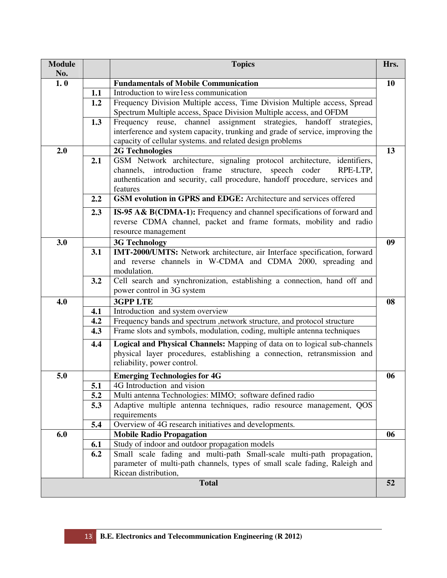| <b>Module</b><br>No. |     | <b>Topics</b>                                                                                                                                                                                                                              | Hrs. |
|----------------------|-----|--------------------------------------------------------------------------------------------------------------------------------------------------------------------------------------------------------------------------------------------|------|
| 1.0                  |     | <b>Fundamentals of Mobile Communication</b>                                                                                                                                                                                                | 10   |
|                      | 1.1 | Introduction to wire1ess communication                                                                                                                                                                                                     |      |
|                      | 1.2 | Frequency Division Multiple access, Time Division Multiple access, Spread<br>Spectrum Multiple access, Space Division Multiple access, and OFDM                                                                                            |      |
|                      | 1.3 | Frequency reuse, channel assignment strategies, handoff strategies,                                                                                                                                                                        |      |
|                      |     | interference and system capacity, trunking and grade of service, improving the<br>capacity of cellular systems. and related design problems                                                                                                |      |
| 2.0                  |     | <b>2G Technologies</b>                                                                                                                                                                                                                     | 13   |
|                      | 2.1 | GSM Network architecture, signaling protocol architecture, identifiers,<br>channels, introduction frame<br>structure, speech coder<br>RPE-LTP,<br>authentication and security, call procedure, handoff procedure, services and<br>features |      |
|                      | 2.2 | GSM evolution in GPRS and EDGE: Architecture and services offered                                                                                                                                                                          |      |
|                      | 2.3 | IS-95 A& B(CDMA-1): Frequency and channel specifications of forward and<br>reverse CDMA channel, packet and frame formats, mobility and radio<br>resource management                                                                       |      |
| 3.0                  |     | <b>3G Technology</b>                                                                                                                                                                                                                       | 09   |
|                      | 3.1 | IMT-2000/UMTS: Network architecture, air Interface specification, forward<br>and reverse channels in W-CDMA and CDMA 2000, spreading and<br>modulation.                                                                                    |      |
|                      | 3.2 | Cell search and synchronization, establishing a connection, hand off and<br>power control in 3G system                                                                                                                                     |      |
| 4.0                  |     | <b>3GPP LTE</b>                                                                                                                                                                                                                            | 08   |
|                      | 4.1 | Introduction and system overview                                                                                                                                                                                                           |      |
|                      | 4.2 | Frequency bands and spectrum , network structure, and protocol structure                                                                                                                                                                   |      |
|                      | 4.3 | Frame slots and symbols, modulation, coding, multiple antenna techniques                                                                                                                                                                   |      |
|                      | 4.4 | Logical and Physical Channels: Mapping of data on to logical sub-channels<br>physical layer procedures, establishing a connection, retransmission and<br>reliability, power control.                                                       |      |
| 5.0                  |     | <b>Emerging Technologies for 4G</b>                                                                                                                                                                                                        | 06   |
|                      | 5.1 | 4G Introduction and vision                                                                                                                                                                                                                 |      |
|                      | 5.2 | Multi antenna Technologies: MIMO; software defined radio                                                                                                                                                                                   |      |
|                      | 5.3 | Adaptive multiple antenna techniques, radio resource management, QOS<br>requirements                                                                                                                                                       |      |
|                      | 5.4 | Overview of 4G research initiatives and developments.                                                                                                                                                                                      |      |
| 6.0                  |     | <b>Mobile Radio Propagation</b>                                                                                                                                                                                                            | 06   |
|                      | 6.1 | Study of indoor and outdoor propagation models                                                                                                                                                                                             |      |
|                      | 6.2 | Small scale fading and multi-path Small-scale multi-path propagation,<br>parameter of multi-path channels, types of small scale fading, Raleigh and<br>Ricean distribution,                                                                |      |
|                      |     | <b>Total</b>                                                                                                                                                                                                                               | 52   |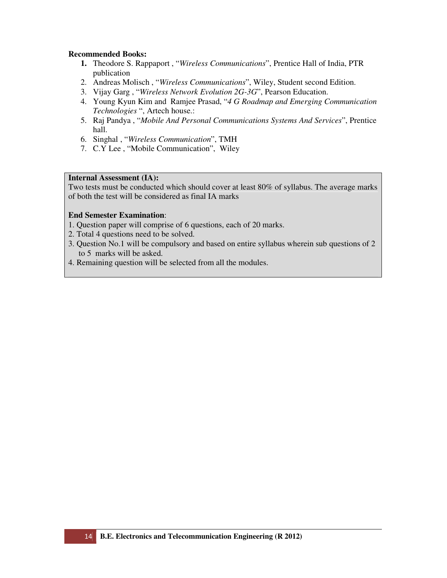- **1.** Theodore S. Rappaport , "*Wireless Communications*", Prentice Hall of India, PTR publication
- 2. Andreas Molisch , "*Wireless Communications*", Wiley, Student second Edition.
- 3. Vijay Garg , "*Wireless Network Evolution 2G-3G*", Pearson Education.
- 4. Young Kyun Kim and Ramjee Prasad, "*4 G Roadmap and Emerging Communication Technologies* ", Artech house.:
- 5. Raj Pandya , "*Mobile And Personal Communications Systems And Services*", Prentice hall.
- 6. Singhal , "*Wireless Communication*", TMH
- 7. C.Y Lee , "Mobile Communication", Wiley

# **Internal Assessment (IA):**

Two tests must be conducted which should cover at least 80% of syllabus. The average marks of both the test will be considered as final IA marks

- 1. Question paper will comprise of 6 questions, each of 20 marks.
- 2. Total 4 questions need to be solved.
- 3. Question No.1 will be compulsory and based on entire syllabus wherein sub questions of 2 to 5 marks will be asked.
- 4. Remaining question will be selected from all the modules.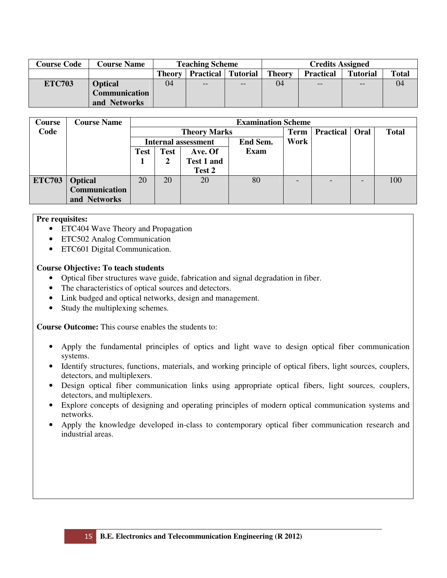| <b>Course Code</b> | <b>Course Name</b>   | <b>Teaching Scheme</b> |                  |                 | <b>Credits Assigned</b> |                   |                 |              |  |
|--------------------|----------------------|------------------------|------------------|-----------------|-------------------------|-------------------|-----------------|--------------|--|
|                    |                      | <b>Theory</b>          | <b>Practical</b> | <b>Tutorial</b> | <b>Theory</b>           | <b>Practical</b>  | <b>Tutorial</b> | <b>Total</b> |  |
| <b>ETC703</b>      | <b>Optical</b>       | 04                     |                  | --              | 04                      | $\qquad \qquad -$ | --              | 04           |  |
|                    | <b>Communication</b> |                        |                  |                 |                         |                   |                 |              |  |
|                    | and Networks         |                        |                  |                 |                         |                   |                 |              |  |

| Course        | <b>Course Name</b>   |      |                     |                            | <b>Examination Scheme</b> |      |                         |   |              |
|---------------|----------------------|------|---------------------|----------------------------|---------------------------|------|-------------------------|---|--------------|
| Code          |                      |      | <b>Theory Marks</b> |                            |                           |      | <b>Practical   Oral</b> |   | <b>Total</b> |
|               |                      |      |                     | <b>Internal assessment</b> | End Sem.                  | Work |                         |   |              |
|               |                      | Test | <b>Test</b>         | Ave. Of                    | <b>Exam</b>               |      |                         |   |              |
|               |                      |      |                     | Test 1 and                 |                           |      |                         |   |              |
|               |                      |      |                     | Test 2                     |                           |      |                         |   |              |
| <b>ETC703</b> | <b>Optical</b>       | 20   | 20                  | 20                         | 80                        |      |                         | - | 100          |
|               | <b>Communication</b> |      |                     |                            |                           |      |                         |   |              |
|               | and Networks         |      |                     |                            |                           |      |                         |   |              |

# **Pre requisites:**

- ETC404 Wave Theory and Propagation
- ETC502 Analog Communication
- ETC601 Digital Communication.

#### **Course Objective: To teach students**

- Optical fiber structures wave guide, fabrication and signal degradation in fiber.
- The characteristics of optical sources and detectors.
- Link budged and optical networks, design and management.
- Study the multiplexing schemes.

**Course Outcome:** This course enables the students to:

- Apply the fundamental principles of optics and light wave to design optical fiber communication systems.
- Identify structures, functions, materials, and working principle of optical fibers, light sources, couplers, detectors, and multiplexers.
- Design optical fiber communication links using appropriate optical fibers, light sources, couplers, detectors, and multiplexers.
- Explore concepts of designing and operating principles of modern optical communication systems and networks.
- Apply the knowledge developed in-class to contemporary optical fiber communication research and industrial areas.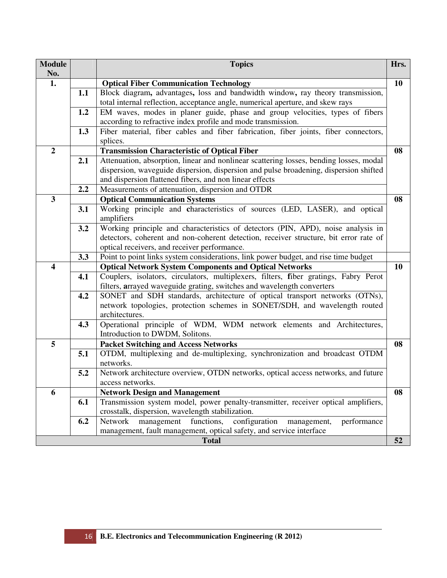| <b>Module</b><br>No.    |     | <b>Topics</b>                                                                                | Hrs.      |
|-------------------------|-----|----------------------------------------------------------------------------------------------|-----------|
| 1.                      |     | <b>Optical Fiber Communication Technology</b>                                                | <b>10</b> |
|                         | 1.1 | Block diagram, advantages, loss and bandwidth window, ray theory transmission,               |           |
|                         |     | total internal reflection, acceptance angle, numerical aperture, and skew rays               |           |
|                         | 1.2 | EM waves, modes in planer guide, phase and group velocities, types of fibers                 |           |
|                         |     | according to refractive index profile and mode transmission.                                 |           |
|                         | 1.3 | Fiber material, fiber cables and fiber fabrication, fiber joints, fiber connectors,          |           |
|                         |     | splices.                                                                                     |           |
| $\boldsymbol{2}$        |     | <b>Transmission Characteristic of Optical Fiber</b>                                          | 08        |
|                         | 2.1 | Attenuation, absorption, linear and nonlinear scattering losses, bending losses, modal       |           |
|                         |     | dispersion, waveguide dispersion, dispersion and pulse broadening, dispersion shifted        |           |
|                         |     | and dispersion flattened fibers, and non linear effects                                      |           |
|                         | 2.2 | Measurements of attenuation, dispersion and OTDR                                             |           |
| $\overline{\mathbf{3}}$ |     | <b>Optical Communication Systems</b>                                                         | 08        |
|                         | 3.1 | Working principle and characteristics of sources (LED, LASER), and optical                   |           |
|                         |     | amplifiers                                                                                   |           |
|                         | 3.2 | Working principle and characteristics of detectors (PIN, APD), noise analysis in             |           |
|                         |     | detectors, coherent and non-coherent detection, receiver structure, bit error rate of        |           |
|                         |     | optical receivers, and receiver performance.                                                 |           |
|                         | 3.3 | Point to point links system considerations, link power budget, and rise time budget          |           |
| $\overline{\mathbf{4}}$ |     | <b>Optical Network System Components and Optical Networks</b>                                | 10        |
|                         | 4.1 | Couplers, isolators, circulators, multiplexers, filters, fiber gratings, Fabry Perot         |           |
|                         |     | filters, arrayed waveguide grating, switches and wavelength converters                       |           |
|                         | 4.2 | SONET and SDH standards, architecture of optical transport networks (OTNs),                  |           |
|                         |     | network topologies, protection schemes in SONET/SDH, and wavelength routed<br>architectures. |           |
|                         | 4.3 | Operational principle of WDM, WDM network elements and Architectures,                        |           |
|                         |     | Introduction to DWDM, Solitons.                                                              |           |
| 5                       |     | <b>Packet Switching and Access Networks</b>                                                  | 08        |
|                         | 5.1 | OTDM, multiplexing and de-multiplexing, synchronization and broadcast OTDM                   |           |
|                         |     | networks.                                                                                    |           |
|                         | 5.2 | Network architecture overview, OTDN networks, optical access networks, and future            |           |
|                         |     | access networks.                                                                             |           |
| 6                       |     | <b>Network Design and Management</b>                                                         | 08        |
|                         | 6.1 | Transmission system model, power penalty-transmitter, receiver optical amplifiers,           |           |
|                         |     | crosstalk, dispersion, wavelength stabilization.                                             |           |
|                         | 6.2 | configuration<br>Network<br>management<br>functions,<br>performance<br>management,           |           |
|                         |     | management, fault management, optical safety, and service interface                          |           |
|                         |     | <b>Total</b>                                                                                 | 52        |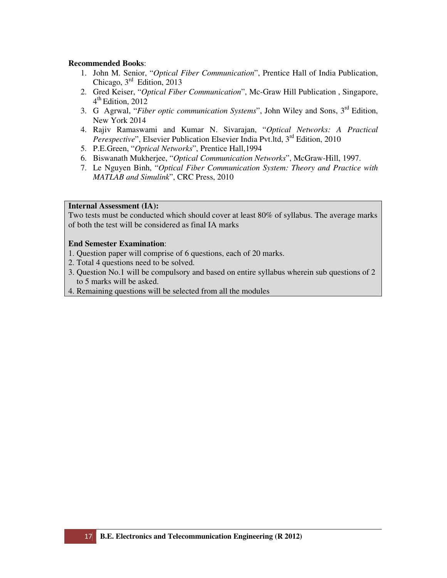- 1. John M. Senior, "*Optical Fiber Communication*", Prentice Hall of India Publication, Chicago,  $3<sup>rd</sup>$  Edition, 2013
- 2. Gred Keiser, "*Optical Fiber Communication*", Mc-Graw Hill Publication , Singapore, 4 th Edition, 2012
- 3. G Agrwal, "*Fiber optic communication Systems*", John Wiley and Sons, 3rd Edition, New York 2014
- 4. Rajiv Ramaswami and Kumar N. Sivarajan, "*Optical Networks: A Practical Perespective*", Elsevier Publication Elsevier India Pvt.ltd, 3<sup>rd</sup> Edition, 2010
- 5. P.E.Green, "*Optical Networks*", Prentice Hall,1994
- 6. Biswanath Mukherjee, "*Optical Communication Networks*", McGraw-Hill, 1997.
- 7. Le Nguyen Binh, "*Optical Fiber Communication System: Theory and Practice with MATLAB and Simulink*", CRC Press, 2010

#### **Internal Assessment (IA):**

Two tests must be conducted which should cover at least 80% of syllabus. The average marks of both the test will be considered as final IA marks

- 1. Question paper will comprise of 6 questions, each of 20 marks.
- 2. Total 4 questions need to be solved.
- 3. Question No.1 will be compulsory and based on entire syllabus wherein sub questions of 2 to 5 marks will be asked.
- 4. Remaining questions will be selected from all the modules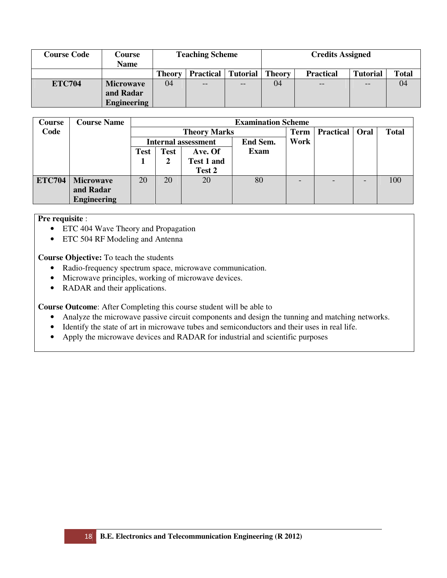| <b>Course Code</b> | Course<br>Name     | <b>Teaching Scheme</b> |                  |          | <b>Credits Assigned</b> |                   |                 |              |  |
|--------------------|--------------------|------------------------|------------------|----------|-------------------------|-------------------|-----------------|--------------|--|
|                    |                    | <b>Theory</b>          | <b>Practical</b> | Tutorial | <b>Theory</b>           | <b>Practical</b>  | <b>Tutorial</b> | <b>Total</b> |  |
| <b>ETC704</b>      | <b>Microwave</b>   | 04                     | $ -$             | $-$      | 04                      | $\qquad \qquad -$ | $-$             | 04           |  |
|                    | and Radar          |                        |                  |          |                         |                   |                 |              |  |
|                    | <b>Engineering</b> |                        |                  |          |                         |                   |                 |              |  |

| <b>Course</b> | <b>Course Name</b> |             |                     |                            | <b>Examination Scheme</b> |                          |                  |      |              |
|---------------|--------------------|-------------|---------------------|----------------------------|---------------------------|--------------------------|------------------|------|--------------|
| Code          |                    |             | <b>Theory Marks</b> |                            |                           |                          | <b>Practical</b> | Oral | <b>Total</b> |
|               |                    |             |                     | <b>Internal assessment</b> | End Sem.                  | Work                     |                  |      |              |
|               |                    | <b>Test</b> | <b>Test</b>         | Ave. Of                    | <b>Exam</b>               |                          |                  |      |              |
|               |                    |             | 2                   | <b>Test 1 and</b>          |                           |                          |                  |      |              |
|               |                    |             |                     | Test 2                     |                           |                          |                  |      |              |
| <b>ETC704</b> | <b>Microwave</b>   | 20          | 20                  | 20                         | 80                        | $\overline{\phantom{0}}$ |                  | ۰    | 100          |
|               | and Radar          |             |                     |                            |                           |                          |                  |      |              |
|               | <b>Engineering</b> |             |                     |                            |                           |                          |                  |      |              |

# **Pre requisite** :

- ETC 404 Wave Theory and Propagation
- ETC 504 RF Modeling and Antenna

**Course Objective:** To teach the students

- Radio-frequency spectrum space, microwave communication.
- Microwave principles, working of microwave devices.
- RADAR and their applications.

**Course Outcome**: After Completing this course student will be able to

- Analyze the microwave passive circuit components and design the tunning and matching networks.
- Identify the state of art in microwave tubes and semiconductors and their uses in real life.
- Apply the microwave devices and RADAR for industrial and scientific purposes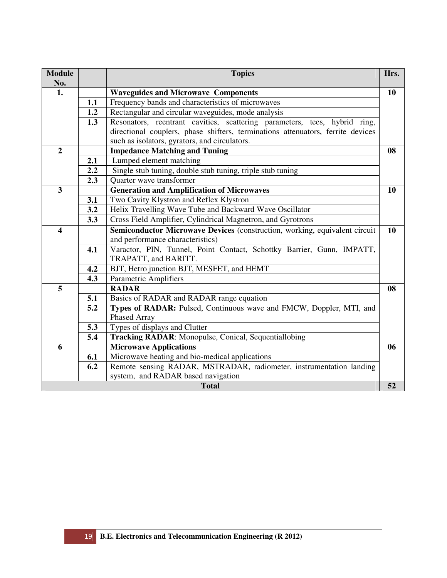| <b>Module</b><br>No.    |     | <b>Topics</b>                                                                   | Hrs. |
|-------------------------|-----|---------------------------------------------------------------------------------|------|
| 1.                      |     | <b>Waveguides and Microwave Components</b>                                      | 10   |
|                         | 1.1 | Frequency bands and characteristics of microwaves                               |      |
|                         | 1.2 | Rectangular and circular waveguides, mode analysis                              |      |
|                         | 1.3 | Resonators, reentrant cavities, scattering parameters, tees, hybrid ring,       |      |
|                         |     | directional couplers, phase shifters, terminations attenuators, ferrite devices |      |
|                         |     | such as isolators, gyrators, and circulators.                                   |      |
| $\overline{2}$          |     | <b>Impedance Matching and Tuning</b>                                            | 08   |
|                         | 2.1 | Lumped element matching                                                         |      |
|                         | 2.2 | Single stub tuning, double stub tuning, triple stub tuning                      |      |
|                         | 2.3 | Quarter wave transformer                                                        |      |
| $\overline{\mathbf{3}}$ |     | <b>Generation and Amplification of Microwaves</b>                               | 10   |
|                         | 3.1 | Two Cavity Klystron and Reflex Klystron                                         |      |
|                         | 3.2 | Helix Travelling Wave Tube and Backward Wave Oscillator                         |      |
|                         | 3.3 | Cross Field Amplifier, Cylindrical Magnetron, and Gyrotrons                     |      |
| $\overline{\mathbf{4}}$ |     | Semiconductor Microwave Devices (construction, working, equivalent circuit      | 10   |
|                         |     | and performance characteristics)                                                |      |
|                         | 4.1 | Varactor, PIN, Tunnel, Point Contact, Schottky Barrier, Gunn, IMPATT,           |      |
|                         |     | TRAPATT, and BARITT.                                                            |      |
|                         | 4.2 | BJT, Hetro junction BJT, MESFET, and HEMT                                       |      |
|                         | 4.3 | <b>Parametric Amplifiers</b>                                                    |      |
| 5                       |     | <b>RADAR</b>                                                                    | 08   |
|                         | 5.1 | Basics of RADAR and RADAR range equation                                        |      |
|                         | 5.2 | Types of RADAR: Pulsed, Continuous wave and FMCW, Doppler, MTI, and             |      |
|                         |     | <b>Phased Array</b>                                                             |      |
|                         | 5.3 | Types of displays and Clutter                                                   |      |
|                         | 5.4 | <b>Tracking RADAR:</b> Monopulse, Conical, Sequentiallobing                     |      |
| 6                       |     | <b>Microwave Applications</b>                                                   | 06   |
|                         | 6.1 | Microwave heating and bio-medical applications                                  |      |
|                         | 6.2 | Remote sensing RADAR, MSTRADAR, radiometer, instrumentation landing             |      |
|                         |     | system, and RADAR based navigation                                              |      |
|                         |     | <b>Total</b>                                                                    | 52   |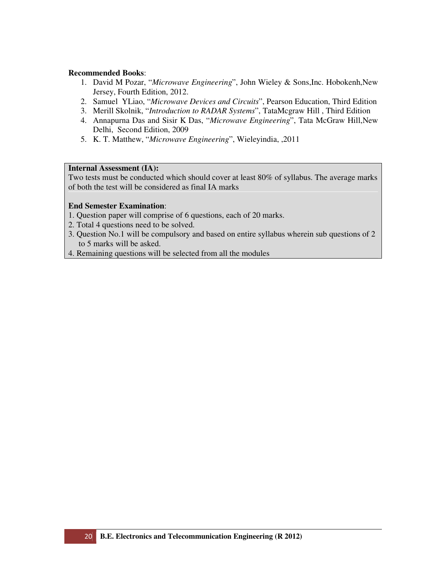- 1. David M Pozar, "*Microwave Engineering*", John Wieley & Sons,Inc. Hobokenh,New Jersey, Fourth Edition, 2012.
- 2. Samuel YLiao, "*Microwave Devices and Circuits*", Pearson Education, Third Edition
- 3. Merill Skolnik, "*Introduction to RADAR Systems*", TataMcgraw Hill , Third Edition
- 4. Annapurna Das and Sisir K Das, "*Microwave Engineering*", Tata McGraw Hill,New Delhi, Second Edition, 2009
- 5. K. T. Matthew, "*Microwave Engineering*", Wieleyindia, ,2011

# **Internal Assessment (IA):**

Two tests must be conducted which should cover at least 80% of syllabus. The average marks of both the test will be considered as final IA marks

- 1. Question paper will comprise of 6 questions, each of 20 marks.
- 2. Total 4 questions need to be solved.
- 3. Question No.1 will be compulsory and based on entire syllabus wherein sub questions of 2 to 5 marks will be asked.
- 4. Remaining questions will be selected from all the modules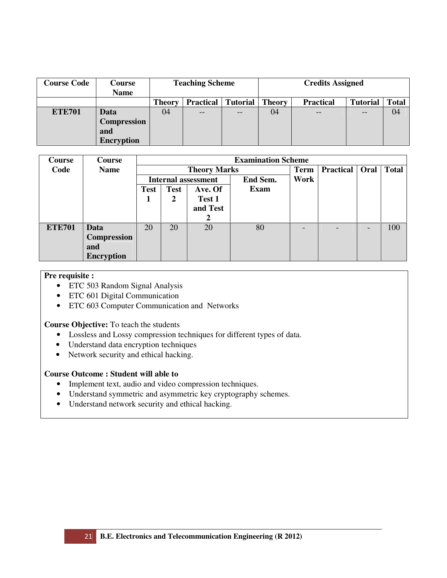| <b>Course Code</b> | Course<br><b>Name</b> |               | <b>Teaching Scheme</b> |                 | <b>Credits Assigned</b> |                 |              |    |  |
|--------------------|-----------------------|---------------|------------------------|-----------------|-------------------------|-----------------|--------------|----|--|
|                    |                       | <b>Theory</b> | <b>Practical</b>       | <b>Tutorial</b> | <b>Theory</b>           | <b>Tutorial</b> | <b>Total</b> |    |  |
| <b>ETE701</b>      | Data                  | 04            | $- -$                  | $- -$           | 04                      | $ -$            | $- -$        | 04 |  |
|                    | <b>Compression</b>    |               |                        |                 |                         |                 |              |    |  |
|                    | and                   |               |                        |                 |                         |                 |              |    |  |
|                    | <b>Encryption</b>     |               |                        |                 |                         |                 |              |    |  |

| <b>Course</b> | Course             |                            |             |          | <b>Examination Scheme</b> |             |                          |              |
|---------------|--------------------|----------------------------|-------------|----------|---------------------------|-------------|--------------------------|--------------|
| Code          | <b>Name</b>        | <b>Theory Marks</b>        |             |          |                           | <b>Term</b> | <b>Practical</b> Oral    | <b>Total</b> |
|               |                    | <b>Internal assessment</b> |             |          | End Sem.                  | Work        |                          |              |
|               |                    | <b>Test</b>                | <b>Test</b> | Ave. Of  | Exam                      |             |                          |              |
|               |                    | -1                         | 2           | Test 1   |                           |             |                          |              |
|               |                    |                            |             | and Test |                           |             |                          |              |
|               |                    |                            |             | 2        |                           |             |                          |              |
| <b>ETE701</b> | Data               | 20                         | 20          | 20       | 80                        |             | $\overline{\phantom{a}}$ | 100          |
|               | <b>Compression</b> |                            |             |          |                           |             |                          |              |
|               | and                |                            |             |          |                           |             |                          |              |
|               | <b>Encryption</b>  |                            |             |          |                           |             |                          |              |

# **Pre requisite :**

- ETC 503 Random Signal Analysis
- ETC 601 Digital Communication
- ETC 603 Computer Communication and Networks

# **Course Objective:** To teach the students

- Lossless and Lossy compression techniques for different types of data.
- Understand data encryption techniques
- Network security and ethical hacking.

# **Course Outcome : Student will able to**

- Implement text, audio and video compression techniques.
- Understand symmetric and asymmetric key cryptography schemes.
- Understand network security and ethical hacking.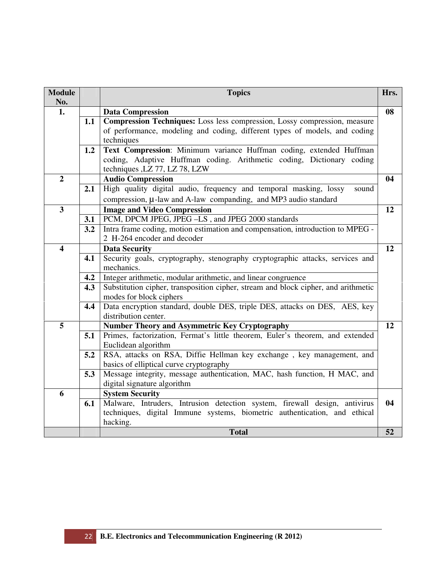| <b>Module</b><br>No.    |     | <b>Topics</b>                                                                                                                                                                  | Hrs. |
|-------------------------|-----|--------------------------------------------------------------------------------------------------------------------------------------------------------------------------------|------|
| 1.                      |     | <b>Data Compression</b>                                                                                                                                                        | 08   |
|                         | 1.1 | Compression Techniques: Loss less compression, Lossy compression, measure<br>of performance, modeling and coding, different types of models, and coding<br>techniques          |      |
|                         | 1.2 | Text Compression: Minimum variance Huffman coding, extended Huffman<br>coding, Adaptive Huffman coding. Arithmetic coding, Dictionary coding<br>techniques , LZ 77, LZ 78, LZW |      |
| $\overline{2}$          |     | <b>Audio Compression</b>                                                                                                                                                       | 04   |
|                         | 2.1 | High quality digital audio, frequency and temporal masking, lossy<br>sound<br>compression, $\mu$ -law and A-law companding, and MP3 audio standard                             |      |
| $\overline{\mathbf{3}}$ |     | <b>Image and Video Compression</b>                                                                                                                                             | 12   |
|                         | 3.1 | PCM, DPCM JPEG, JPEG -LS, and JPEG 2000 standards                                                                                                                              |      |
|                         | 3.2 | Intra frame coding, motion estimation and compensation, introduction to MPEG -<br>2 H-264 encoder and decoder                                                                  |      |
| $\overline{\mathbf{4}}$ |     | <b>Data Security</b>                                                                                                                                                           | 12   |
|                         | 4.1 | Security goals, cryptography, stenography cryptographic attacks, services and<br>mechanics.                                                                                    |      |
|                         | 4.2 | Integer arithmetic, modular arithmetic, and linear congruence                                                                                                                  |      |
|                         | 4.3 | Substitution cipher, transposition cipher, stream and block cipher, and arithmetic<br>modes for block ciphers                                                                  |      |
|                         | 4.4 | Data encryption standard, double DES, triple DES, attacks on DES, AES, key<br>distribution center.                                                                             |      |
| 5                       |     | <b>Number Theory and Asymmetric Key Cryptography</b>                                                                                                                           | 12   |
|                         | 5.1 | Primes, factorization, Fermat's little theorem, Euler's theorem, and extended<br>Euclidean algorithm                                                                           |      |
|                         | 5.2 | RSA, attacks on RSA, Diffie Hellman key exchange, key management, and<br>basics of elliptical curve cryptography                                                               |      |
|                         | 5.3 | Message integrity, message authentication, MAC, hash function, H MAC, and<br>digital signature algorithm                                                                       |      |
| 6                       |     | <b>System Security</b>                                                                                                                                                         |      |
|                         | 6.1 | Malware, Intruders, Intrusion detection system, firewall design, antivirus<br>techniques, digital Immune systems, biometric authentication, and ethical<br>hacking.            | 04   |
|                         |     | <b>Total</b>                                                                                                                                                                   | 52   |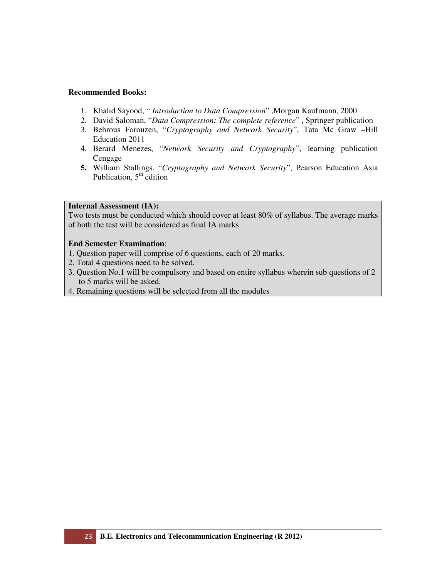- 1. Khalid Sayood, " *Introduction to Data Compression*" ,Morgan Kaufmann, 2000
- 2. David Saloman, "*Data Compression: The complete reference*" , Springer publication
- 3. Behrous Forouzen, "*Cryptography and Network Security*", Tata Mc Graw –Hill Education 2011
- 4. Berard Menezes, "*Network Security and Cryptography*", learning publication Cengage
- **5.** William Stallings, "*Cryptography and Network Security*", Pearson Education Asia Publication,  $5<sup>th</sup>$  edition

#### **Internal Assessment (IA):**

Two tests must be conducted which should cover at least 80% of syllabus. The average marks of both the test will be considered as final IA marks

- 1. Question paper will comprise of 6 questions, each of 20 marks.
- 2. Total 4 questions need to be solved.
- 3. Question No.1 will be compulsory and based on entire syllabus wherein sub questions of 2 to 5 marks will be asked.
- 4. Remaining questions will be selected from all the modules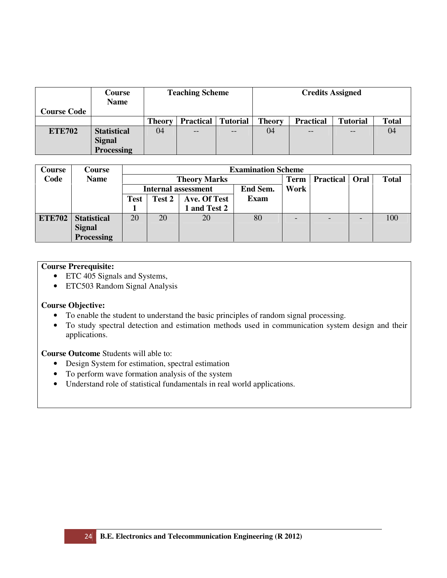| <b>Course Code</b> | Course<br><b>Name</b> |               | <b>Teaching Scheme</b> |                 | <b>Credits Assigned</b> |                  |                 |              |  |
|--------------------|-----------------------|---------------|------------------------|-----------------|-------------------------|------------------|-----------------|--------------|--|
|                    |                       | <b>Theory</b> | <b>Practical</b>       | <b>Tutorial</b> | <b>Theory</b>           | <b>Practical</b> | <b>Tutorial</b> | <b>Total</b> |  |
| <b>ETE702</b>      | <b>Statistical</b>    | 04            | $- -$                  | $- -$           | 04                      | $- -$            |                 | 04           |  |
|                    | <b>Signal</b>         |               |                        |                 |                         |                  |                 |              |  |
|                    | Processing            |               |                        |                 |                         |                  |                 |              |  |

| <b>Course</b> | Course             |      | <b>Examination Scheme</b> |                            |             |                  |                          |              |     |  |  |  |
|---------------|--------------------|------|---------------------------|----------------------------|-------------|------------------|--------------------------|--------------|-----|--|--|--|
| Code          | <b>Name</b>        |      |                           | <b>Theory Marks</b>        | <b>Term</b> | <b>Practical</b> | Oral                     | <b>Total</b> |     |  |  |  |
|               |                    |      |                           | <b>Internal assessment</b> | End Sem.    | Work             |                          |              |     |  |  |  |
|               |                    | Test | Test 2                    | Ave. Of Test               | Exam        |                  |                          |              |     |  |  |  |
|               |                    |      |                           | 1 and Test 2               |             |                  |                          |              |     |  |  |  |
| <b>ETE702</b> | <b>Statistical</b> | 20   | 20                        | 20                         | 80          |                  | $\overline{\phantom{a}}$ |              | 100 |  |  |  |
|               | <b>Signal</b>      |      |                           |                            |             |                  |                          |              |     |  |  |  |
|               | <b>Processing</b>  |      |                           |                            |             |                  |                          |              |     |  |  |  |

# **Course Prerequisite:**

- ETC 405 Signals and Systems,
- ETC503 Random Signal Analysis

# **Course Objective:**

- To enable the student to understand the basic principles of random signal processing.
- To study spectral detection and estimation methods used in communication system design and their applications.

**Course Outcome** Students will able to:

- Design System for estimation, spectral estimation
- To perform wave formation analysis of the system
- Understand role of statistical fundamentals in real world applications.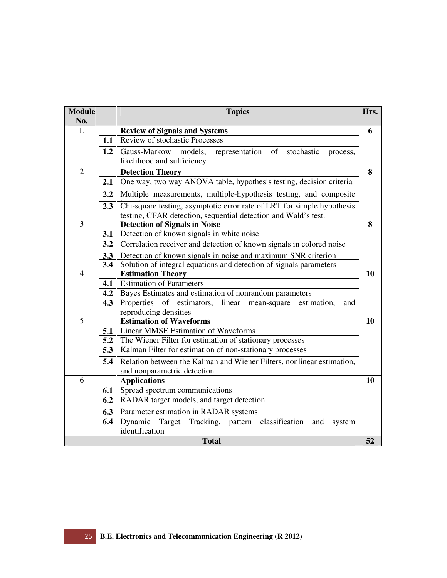| <b>Module</b><br>No. |     | <b>Topics</b>                                                                                                                            | Hrs. |  |  |  |  |  |  |  |  |
|----------------------|-----|------------------------------------------------------------------------------------------------------------------------------------------|------|--|--|--|--|--|--|--|--|
| 1.                   |     | <b>Review of Signals and Systems</b>                                                                                                     | 6    |  |  |  |  |  |  |  |  |
|                      | 1.1 | Review of stochastic Processes                                                                                                           |      |  |  |  |  |  |  |  |  |
|                      | 1.2 | Gauss-Markow<br>models,<br>representation<br>of<br>stochastic<br>process,                                                                |      |  |  |  |  |  |  |  |  |
|                      |     | likelihood and sufficiency                                                                                                               |      |  |  |  |  |  |  |  |  |
| $\overline{2}$       |     | <b>Detection Theory</b>                                                                                                                  | 8    |  |  |  |  |  |  |  |  |
|                      | 2.1 | One way, two way ANOVA table, hypothesis testing, decision criteria                                                                      |      |  |  |  |  |  |  |  |  |
|                      | 2.2 | Multiple measurements, multiple-hypothesis testing, and composite                                                                        |      |  |  |  |  |  |  |  |  |
|                      | 2.3 | Chi-square testing, asymptotic error rate of LRT for simple hypothesis<br>testing, CFAR detection, sequential detection and Wald's test. |      |  |  |  |  |  |  |  |  |
| 3                    |     | <b>Detection of Signals in Noise</b>                                                                                                     | 8    |  |  |  |  |  |  |  |  |
|                      |     | 3.1 Detection of known signals in white noise                                                                                            |      |  |  |  |  |  |  |  |  |
|                      |     | <b>3.2</b> Correlation receiver and detection of known signals in colored noise                                                          |      |  |  |  |  |  |  |  |  |
|                      |     | <b>3.3</b> Detection of known signals in noise and maximum SNR criterion                                                                 |      |  |  |  |  |  |  |  |  |
|                      | 3.4 | Solution of integral equations and detection of signals parameters                                                                       |      |  |  |  |  |  |  |  |  |
| $\overline{4}$       |     | <b>Estimation Theory</b>                                                                                                                 | 10   |  |  |  |  |  |  |  |  |
|                      |     | 4.1 Estimation of Parameters                                                                                                             |      |  |  |  |  |  |  |  |  |
|                      |     | <b>4.2</b> Bayes Estimates and estimation of nonrandom parameters                                                                        |      |  |  |  |  |  |  |  |  |
|                      | 4.3 | Properties of estimators, linear mean-square estimation,<br>and                                                                          |      |  |  |  |  |  |  |  |  |
| 5                    |     | reproducing densities<br><b>Estimation of Waveforms</b>                                                                                  | 10   |  |  |  |  |  |  |  |  |
|                      | 5.1 | <b>Linear MMSE Estimation of Waveforms</b>                                                                                               |      |  |  |  |  |  |  |  |  |
|                      |     | <b>5.2</b> The Wiener Filter for estimation of stationary processes                                                                      |      |  |  |  |  |  |  |  |  |
|                      |     | <b>5.3</b>   Kalman Filter for estimation of non-stationary processes                                                                    |      |  |  |  |  |  |  |  |  |
|                      | 5.4 | Relation between the Kalman and Wiener Filters, nonlinear estimation,                                                                    |      |  |  |  |  |  |  |  |  |
|                      |     | and nonparametric detection                                                                                                              |      |  |  |  |  |  |  |  |  |
| 6                    |     | <b>Applications</b>                                                                                                                      | 10   |  |  |  |  |  |  |  |  |
|                      | 6.1 | Spread spectrum communications                                                                                                           |      |  |  |  |  |  |  |  |  |
|                      | 6.2 | RADAR target models, and target detection                                                                                                |      |  |  |  |  |  |  |  |  |
|                      |     | <b>6.3</b> Parameter estimation in RADAR systems                                                                                         |      |  |  |  |  |  |  |  |  |
|                      | 6.4 | Dynamic Target Tracking, pattern classification and<br>system                                                                            |      |  |  |  |  |  |  |  |  |
|                      |     | identification                                                                                                                           |      |  |  |  |  |  |  |  |  |
|                      |     | <b>Total</b>                                                                                                                             | 52   |  |  |  |  |  |  |  |  |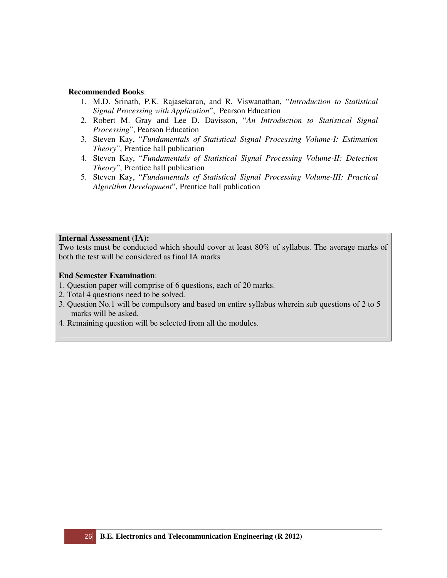- 1. M.D. Srinath, P.K. Rajasekaran, and R. Viswanathan, "*Introduction to Statistical Signal Processing with Application*", Pearson Education
- 2. Robert M. Gray and Lee D. Davisson, "*An Introduction to Statistical Signal Processing*", Pearson Education
- 3. Steven Kay, "*Fundamentals of Statistical Signal Processing Volume-I: Estimation Theory*", Prentice hall publication
- 4. Steven Kay, "*Fundamentals of Statistical Signal Processing Volume-II: Detection Theory*", Prentice hall publication
- 5. Steven Kay, "*Fundamentals of Statistical Signal Processing Volume-III: Practical Algorithm Development*", Prentice hall publication

# **Internal Assessment (IA):**

Two tests must be conducted which should cover at least 80% of syllabus. The average marks of both the test will be considered as final IA marks

- 1. Question paper will comprise of 6 questions, each of 20 marks.
- 2. Total 4 questions need to be solved.
- 3. Question No.1 will be compulsory and based on entire syllabus wherein sub questions of 2 to 5 marks will be asked.
- 4. Remaining question will be selected from all the modules.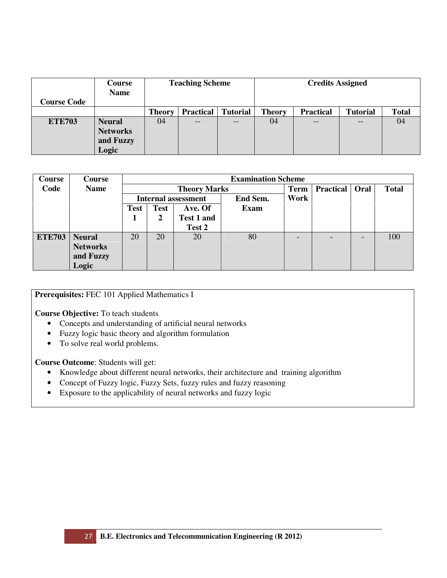|                    | Course<br><b>Name</b> |               | <b>Teaching Scheme</b> |                 | <b>Credits Assigned</b> |                  |                 |              |  |
|--------------------|-----------------------|---------------|------------------------|-----------------|-------------------------|------------------|-----------------|--------------|--|
| <b>Course Code</b> |                       |               |                        |                 |                         |                  |                 |              |  |
|                    |                       | <b>Theory</b> | <b>Practical</b>       | <b>Tutorial</b> | <b>Theory</b>           | <b>Practical</b> | <b>Tutorial</b> | <b>Total</b> |  |
| <b>ETE703</b>      | <b>Neural</b>         | 04            | $ -$                   | $- -$           | 04                      | $- -$            |                 | 04           |  |
|                    | <b>Networks</b>       |               |                        |                 |                         |                  |                 |              |  |
|                    | and Fuzzy             |               |                        |                 |                         |                  |                 |              |  |
|                    | Logic                 |               |                        |                 |                         |                  |                 |              |  |

| Course        | Course          |             |             |                            | <b>Examination Scheme</b> |             |                          |                          |              |
|---------------|-----------------|-------------|-------------|----------------------------|---------------------------|-------------|--------------------------|--------------------------|--------------|
| Code          | <b>Name</b>     |             |             | <b>Theory Marks</b>        |                           | <b>Term</b> | <b>Practical</b>         | Oral                     | <b>Total</b> |
|               |                 |             |             | <b>Internal assessment</b> | <b>End Sem.</b>           | Work        |                          |                          |              |
|               |                 | <b>Test</b> | <b>Test</b> | Ave. Of                    | Exam                      |             |                          |                          |              |
|               |                 |             | 2           | Test 1 and                 |                           |             |                          |                          |              |
|               |                 |             |             | Test 2                     |                           |             |                          |                          |              |
| <b>ETE703</b> | <b>Neural</b>   | 20          | 20          | 20                         | 80                        |             | $\overline{\phantom{0}}$ | $\overline{\phantom{0}}$ | 100          |
|               | <b>Networks</b> |             |             |                            |                           |             |                          |                          |              |
|               | and Fuzzy       |             |             |                            |                           |             |                          |                          |              |
|               | Logic           |             |             |                            |                           |             |                          |                          |              |

**Prerequisites:** FEC 101 Applied Mathematics I

**Course Objective:** To teach students

- Concepts and understanding of artificial neural networks
- Fuzzy logic basic theory and algorithm formulation
- To solve real world problems.

**Course Outcome**: Students will get:

- Knowledge about different neural networks, their architecture and training algorithm
- Concept of Fuzzy logic, Fuzzy Sets, fuzzy rules and fuzzy reasoning
- Exposure to the applicability of neural networks and fuzzy logic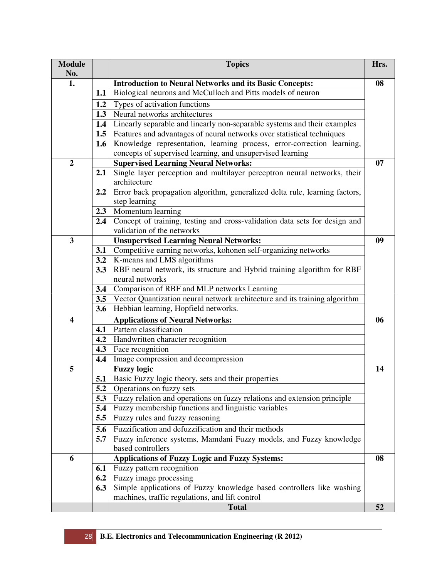| <b>Module</b>           |               | <b>Topics</b>                                                                | Hrs. |
|-------------------------|---------------|------------------------------------------------------------------------------|------|
| No.                     |               |                                                                              |      |
| 1.                      |               | <b>Introduction to Neural Networks and its Basic Concepts:</b>               | 08   |
|                         | 1.1           | Biological neurons and McCulloch and Pitts models of neuron                  |      |
|                         | 1.2           | Types of activation functions                                                |      |
|                         | 1.3           | Neural networks architectures                                                |      |
|                         | 1.4           | Linearly separable and linearly non-separable systems and their examples     |      |
|                         |               | 1.5   Features and advantages of neural networks over statistical techniques |      |
|                         | 1.6           | Knowledge representation, learning process, error-correction learning,       |      |
|                         |               | concepts of supervised learning, and unsupervised learning                   |      |
| $\overline{2}$          |               | <b>Supervised Learning Neural Networks:</b>                                  | 07   |
|                         | 2.1           | Single layer perception and multilayer perceptron neural networks, their     |      |
|                         |               | architecture                                                                 |      |
|                         | $2.2^{\circ}$ | Error back propagation algorithm, generalized delta rule, learning factors,  |      |
|                         |               | step learning                                                                |      |
|                         | 2.3           | Momentum learning                                                            |      |
|                         | 2.4           | Concept of training, testing and cross-validation data sets for design and   |      |
|                         |               | validation of the networks                                                   |      |
| 3                       |               | <b>Unsupervised Learning Neural Networks:</b>                                | 09   |
|                         | 3.1           | Competitive earning networks, kohonen self-organizing networks               |      |
|                         |               | <b>3.2</b>   K-means and LMS algorithms                                      |      |
|                         | 3.3           | RBF neural network, its structure and Hybrid training algorithm for RBF      |      |
|                         |               | neural networks                                                              |      |
|                         | 3.4           | Comparison of RBF and MLP networks Learning                                  |      |
|                         | 3.5           | Vector Quantization neural network architecture and its training algorithm   |      |
|                         | 3.6           | Hebbian learning, Hopfield networks.                                         |      |
| $\overline{\mathbf{4}}$ |               | <b>Applications of Neural Networks:</b>                                      | 06   |
|                         | 4.1           | Pattern classification                                                       |      |
|                         | 4.2           | Handwritten character recognition                                            |      |
|                         | 4.3           | Face recognition                                                             |      |
|                         | 4.4           | Image compression and decompression                                          |      |
| 5                       |               | <b>Fuzzy logic</b>                                                           | 14   |
|                         | 5.1           | Basic Fuzzy logic theory, sets and their properties                          |      |
|                         | 5.2           | Operations on fuzzy sets                                                     |      |
|                         | 5.3           | Fuzzy relation and operations on fuzzy relations and extension principle     |      |
|                         | 5.4           | Fuzzy membership functions and linguistic variables                          |      |
|                         | 5.5           | Fuzzy rules and fuzzy reasoning                                              |      |
|                         | 5.6           | Fuzzification and defuzzification and their methods                          |      |
|                         | 5.7           | Fuzzy inference systems, Mamdani Fuzzy models, and Fuzzy knowledge           |      |
|                         |               | based controllers                                                            |      |
| 6                       |               | <b>Applications of Fuzzy Logic and Fuzzy Systems:</b>                        | 08   |
|                         | 6.1           | Fuzzy pattern recognition                                                    |      |
|                         | 6.2           | Fuzzy image processing                                                       |      |
|                         | 6.3           | Simple applications of Fuzzy knowledge based controllers like washing        |      |
|                         |               | machines, traffic regulations, and lift control                              |      |
|                         |               | <b>Total</b>                                                                 | 52   |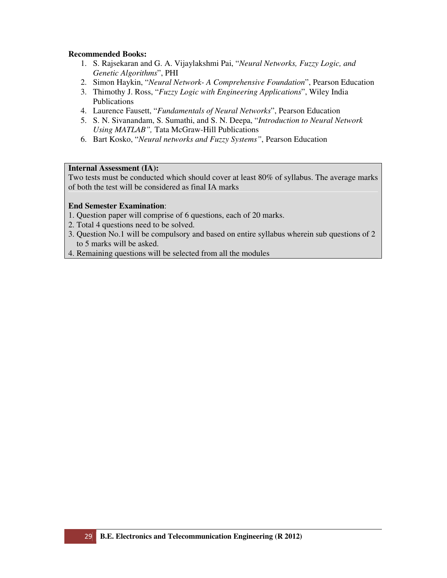- 1. S. Rajsekaran and G. A. Vijaylakshmi Pai, "*Neural Networks, Fuzzy Logic, and Genetic Algorithms*", PHI
- 2. Simon Haykin, "*Neural Network- A Comprehensive Foundation*", Pearson Education
- 3. Thimothy J. Ross, "*Fuzzy Logic with Engineering Applications*", Wiley India Publications
- 4. Laurence Fausett, "*Fundamentals of Neural Networks*", Pearson Education
- 5. S. N. Sivanandam, S. Sumathi, and S. N. Deepa, "*Introduction to Neural Network Using MATLAB",* Tata McGraw-Hill Publications
- 6. Bart Kosko, "*Neural networks and Fuzzy Systems"*, Pearson Education

# **Internal Assessment (IA):**

Two tests must be conducted which should cover at least 80% of syllabus. The average marks of both the test will be considered as final IA marks

- 1. Question paper will comprise of 6 questions, each of 20 marks.
- 2. Total 4 questions need to be solved.
- 3. Question No.1 will be compulsory and based on entire syllabus wherein sub questions of 2 to 5 marks will be asked.
- 4. Remaining questions will be selected from all the modules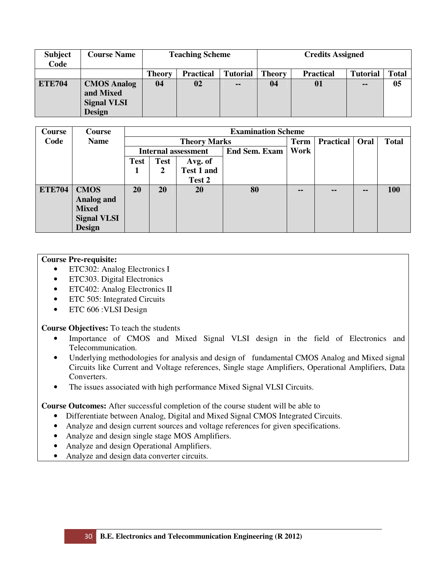| <b>Subject</b><br>Code | <b>Course Name</b>                                                     |        | <b>Teaching Scheme</b> |                 | <b>Credits Assigned</b> |                  |                 |       |  |
|------------------------|------------------------------------------------------------------------|--------|------------------------|-----------------|-------------------------|------------------|-----------------|-------|--|
|                        |                                                                        | Theory | <b>Practical</b>       | <b>Tutorial</b> | <b>Theory</b>           | <b>Practical</b> | <b>Tutorial</b> | Total |  |
| <b>ETE704</b>          | <b>CMOS Analog</b><br>and Mixed<br><b>Signal VLSI</b><br><b>Design</b> | 04     | 02                     | $\sim$ $\sim$   | 04                      | 01               | $\sim$ $\sim$   | 05    |  |

| Course        | <b>Course</b>      |             |             |                            | <b>Examination Scheme</b> |      |                  |               |              |
|---------------|--------------------|-------------|-------------|----------------------------|---------------------------|------|------------------|---------------|--------------|
| Code          | <b>Name</b>        |             |             | <b>Theory Marks</b>        |                           | Term | <b>Practical</b> | Oral          | <b>Total</b> |
|               |                    |             |             | <b>Internal assessment</b> | <b>End Sem. Exam</b>      | Work |                  |               |              |
|               |                    | <b>Test</b> | <b>Test</b> | Avg. of                    |                           |      |                  |               |              |
|               |                    | -1          | 2           | Test 1 and                 |                           |      |                  |               |              |
|               |                    |             |             | Test 2                     |                           |      |                  |               |              |
| <b>ETE704</b> | <b>CMOS</b>        | 20          | 20          | 20                         | 80                        | --   | --               | $\sim$ $\sim$ | 100          |
|               | <b>Analog and</b>  |             |             |                            |                           |      |                  |               |              |
|               | <b>Mixed</b>       |             |             |                            |                           |      |                  |               |              |
|               | <b>Signal VLSI</b> |             |             |                            |                           |      |                  |               |              |
|               | <b>Design</b>      |             |             |                            |                           |      |                  |               |              |

# **Course Pre-requisite:**

- ETC302: Analog Electronics I
- ETC303. Digital Electronics
- ETC402: Analog Electronics II
- ETC 505: Integrated Circuits
- ETC 606 : VLSI Design

# **Course Objectives:** To teach the students

- Importance of CMOS and Mixed Signal VLSI design in the field of Electronics and Telecommunication.
- Underlying methodologies for analysis and design of fundamental CMOS Analog and Mixed signal Circuits like Current and Voltage references, Single stage Amplifiers, Operational Amplifiers, Data Converters.
- The issues associated with high performance Mixed Signal VLSI Circuits.

**Course Outcomes:** After successful completion of the course student will be able to

- Differentiate between Analog, Digital and Mixed Signal CMOS Integrated Circuits.
- Analyze and design current sources and voltage references for given specifications.
- Analyze and design single stage MOS Amplifiers.
- Analyze and design Operational Amplifiers.
- Analyze and design data converter circuits.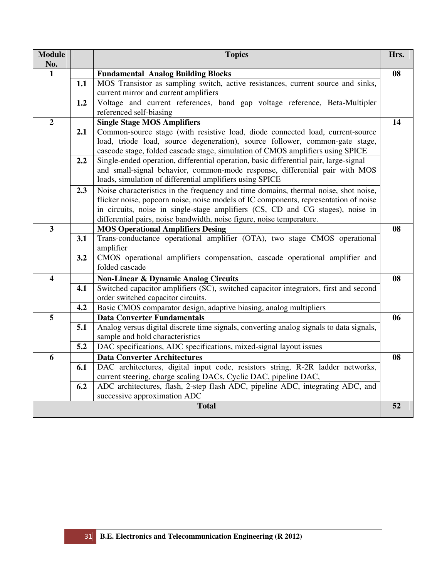| <b>Module</b>           |     | <b>Topics</b>                                                                           | Hrs. |
|-------------------------|-----|-----------------------------------------------------------------------------------------|------|
| No.                     |     |                                                                                         |      |
| $\mathbf{1}$            |     | <b>Fundamental Analog Building Blocks</b>                                               | 08   |
|                         | 1.1 | MOS Transistor as sampling switch, active resistances, current source and sinks,        |      |
|                         |     | current mirror and current amplifiers                                                   |      |
|                         | 1.2 | Voltage and current references, band gap voltage reference, Beta-Multipler              |      |
|                         |     | referenced self-biasing                                                                 |      |
| $\overline{2}$          |     | <b>Single Stage MOS Amplifiers</b>                                                      | 14   |
|                         | 2.1 | Common-source stage (with resistive load, diode connected load, current-source          |      |
|                         |     | load, triode load, source degeneration), source follower, common-gate stage,            |      |
|                         |     | cascode stage, folded cascade stage, simulation of CMOS amplifiers using SPICE          |      |
|                         | 2.2 | Single-ended operation, differential operation, basic differential pair, large-signal   |      |
|                         |     | and small-signal behavior, common-mode response, differential pair with MOS             |      |
|                         |     | loads, simulation of differential amplifiers using SPICE                                |      |
|                         | 2.3 | Noise characteristics in the frequency and time domains, thermal noise, shot noise,     |      |
|                         |     | flicker noise, popcorn noise, noise models of IC components, representation of noise    |      |
|                         |     | in circuits, noise in single-stage amplifiers (CS, CD and CG stages), noise in          |      |
|                         |     | differential pairs, noise bandwidth, noise figure, noise temperature.                   |      |
| $\overline{\mathbf{3}}$ |     | <b>MOS Operational Amplifiers Desing</b>                                                | 08   |
|                         | 3.1 | Trans-conductance operational amplifier (OTA), two stage CMOS operational               |      |
|                         |     | amplifier                                                                               |      |
|                         | 3.2 | CMOS operational amplifiers compensation, cascade operational amplifier and             |      |
|                         |     | folded cascade                                                                          |      |
| $\overline{\mathbf{4}}$ |     | <b>Non-Linear &amp; Dynamic Analog Circuits</b>                                         | 08   |
|                         | 4.1 | Switched capacitor amplifiers (SC), switched capacitor integrators, first and second    |      |
|                         |     | order switched capacitor circuits.                                                      |      |
|                         | 4.2 | Basic CMOS comparator design, adaptive biasing, analog multipliers                      |      |
| 5                       |     | <b>Data Converter Fundamentals</b>                                                      | 06   |
|                         | 5.1 | Analog versus digital discrete time signals, converting analog signals to data signals, |      |
|                         |     | sample and hold characteristics                                                         |      |
|                         | 5.2 | DAC specifications, ADC specifications, mixed-signal layout issues                      |      |
| 6                       |     | <b>Data Converter Architectures</b>                                                     | 08   |
|                         | 6.1 | DAC architectures, digital input code, resistors string, R-2R ladder networks,          |      |
|                         |     | current steering, charge scaling DACs, Cyclic DAC, pipeline DAC,                        |      |
|                         | 6.2 | ADC architectures, flash, 2-step flash ADC, pipeline ADC, integrating ADC, and          |      |
|                         |     | successive approximation ADC                                                            |      |
|                         |     | <b>Total</b>                                                                            | 52   |
|                         |     |                                                                                         |      |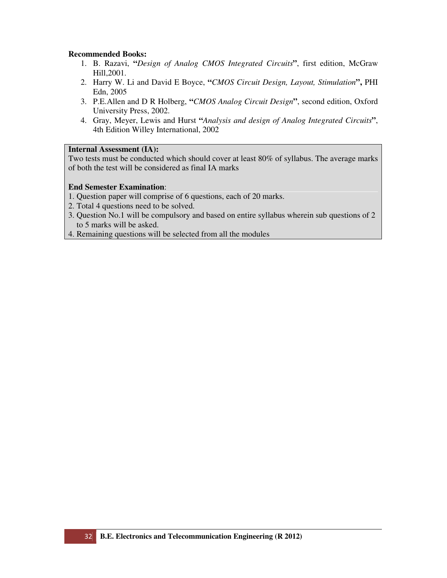- 1. B. Razavi, **"***Design of Analog CMOS Integrated Circuits***"**, first edition, McGraw Hill,2001.
- 2. Harry W. Li and David E Boyce, **"***CMOS Circuit Design, Layout, Stimulation***",** PHI Edn, 2005
- 3. P.E.Allen and D R Holberg, **"***CMOS Analog Circuit Design***"**, second edition, Oxford University Press, 2002.
- 4. Gray, Meyer, Lewis and Hurst **"***Analysis and design of Analog Integrated Circuits***"**, 4th Edition Willey International, 2002

# **Internal Assessment (IA):**

Two tests must be conducted which should cover at least 80% of syllabus. The average marks of both the test will be considered as final IA marks

- 1. Question paper will comprise of 6 questions, each of 20 marks.
- 2. Total 4 questions need to be solved.
- 3. Question No.1 will be compulsory and based on entire syllabus wherein sub questions of 2 to 5 marks will be asked.
- 4. Remaining questions will be selected from all the modules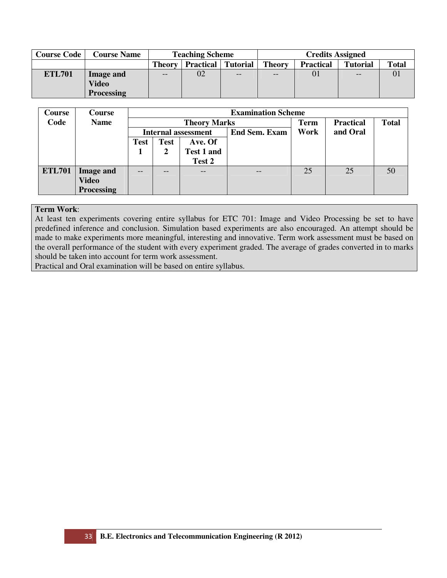| <b>Course Code</b> | <b>Course Name</b> | <b>Teaching Scheme</b> |                           |       | <b>Credits Assigned</b> |                  |                 |              |  |
|--------------------|--------------------|------------------------|---------------------------|-------|-------------------------|------------------|-----------------|--------------|--|
|                    |                    | <b>Theory</b>          | <b>Practical</b> Tutorial |       | <b>Theory</b>           | <b>Practical</b> | <b>Tutorial</b> | <b>Total</b> |  |
| <b>ETL701</b>      | Image and          | $- -$                  | 02                        | $- -$ | $- -$                   | 01               | $- -$           | 01           |  |
|                    | Video              |                        |                           |       |                         |                  |                 |              |  |
|                    | <b>Processing</b>  |                        |                           |       |                         |                  |                 |              |  |

| <b>Course</b> | Course            |                            |             |                     | <b>Examination Scheme</b> |             |                  |              |
|---------------|-------------------|----------------------------|-------------|---------------------|---------------------------|-------------|------------------|--------------|
| Code          | <b>Name</b>       |                            |             | <b>Theory Marks</b> |                           | <b>Term</b> | <b>Practical</b> | <b>Total</b> |
|               |                   | <b>Internal assessment</b> |             |                     | <b>End Sem. Exam</b>      | Work        | and Oral         |              |
|               |                   | Test                       | <b>Test</b> | Ave. Of             |                           |             |                  |              |
|               |                   |                            | 2           | <b>Test 1 and</b>   |                           |             |                  |              |
|               |                   |                            |             | Test 2              |                           |             |                  |              |
| <b>ETL701</b> | <b>Image and</b>  | --                         | --          | $ -$                | $- -$                     | 25          | 25               | 50           |
|               | Video             |                            |             |                     |                           |             |                  |              |
|               | <b>Processing</b> |                            |             |                     |                           |             |                  |              |

At least ten experiments covering entire syllabus for ETC 701: Image and Video Processing be set to have predefined inference and conclusion. Simulation based experiments are also encouraged. An attempt should be made to make experiments more meaningful, interesting and innovative. Term work assessment must be based on the overall performance of the student with every experiment graded. The average of grades converted in to marks should be taken into account for term work assessment.

Practical and Oral examination will be based on entire syllabus.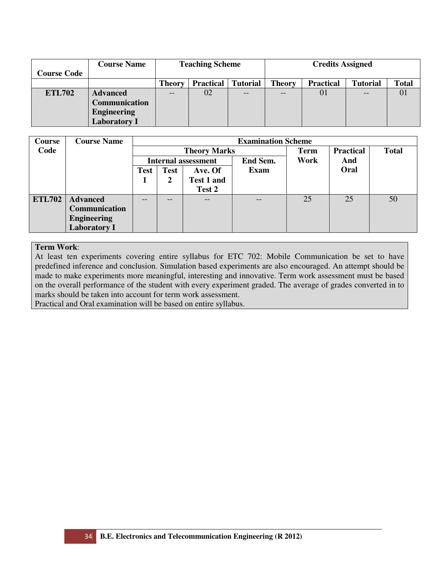|                    | <b>Course Name</b>  | <b>Teaching Scheme</b> |                  |                 | <b>Credits Assigned</b> |                  |                 |              |  |
|--------------------|---------------------|------------------------|------------------|-----------------|-------------------------|------------------|-----------------|--------------|--|
| <b>Course Code</b> |                     |                        |                  |                 |                         |                  |                 |              |  |
|                    |                     | <b>Theory</b>          | <b>Practical</b> | <b>Tutorial</b> | <b>Theory</b>           | <b>Practical</b> | <b>Tutorial</b> | <b>Total</b> |  |
| <b>ETL702</b>      | <b>Advanced</b>     |                        | 02               | --              | --                      | 01               | --              |              |  |
|                    | Communication       |                        |                  |                 |                         |                  |                 |              |  |
|                    | <b>Engineering</b>  |                        |                  |                 |                         |                  |                 |              |  |
|                    | <b>Laboratory I</b> |                        |                  |                 |                         |                  |                 |              |  |

| <b>Course</b> | <b>Course Name</b>  |             |             |                            | <b>Examination Scheme</b> |             |                  |              |
|---------------|---------------------|-------------|-------------|----------------------------|---------------------------|-------------|------------------|--------------|
| Code          |                     |             |             | <b>Theory Marks</b>        |                           | <b>Term</b> | <b>Practical</b> | <b>Total</b> |
|               |                     |             |             | <b>Internal assessment</b> | End Sem.                  | Work        | And              |              |
|               |                     | <b>Test</b> | <b>Test</b> | Ave. Of                    | Exam                      |             | Oral             |              |
|               |                     |             | Test 1 and  |                            |                           |             |                  |              |
|               |                     |             |             | Test 2                     |                           |             |                  |              |
| <b>ETL702</b> | <b>Advanced</b>     |             | --          | $\qquad \qquad -$          | --                        | 25          | 25               | 50           |
|               | Communication       |             |             |                            |                           |             |                  |              |
|               | <b>Engineering</b>  |             |             |                            |                           |             |                  |              |
|               | <b>Laboratory I</b> |             |             |                            |                           |             |                  |              |

At least ten experiments covering entire syllabus for ETC 702: Mobile Communication be set to have predefined inference and conclusion. Simulation based experiments are also encouraged. An attempt should be made to make experiments more meaningful, interesting and innovative. Term work assessment must be based on the overall performance of the student with every experiment graded. The average of grades converted in to marks should be taken into account for term work assessment.

Practical and Oral examination will be based on entire syllabus.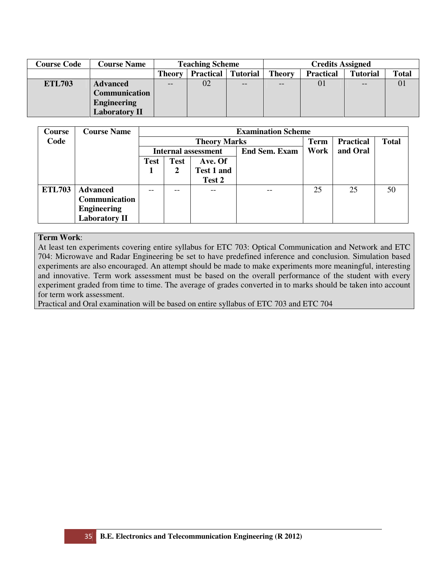| <b>Course Code</b> | <b>Course Name</b>   |                                                      | <b>Teaching Scheme</b> |       | <b>Credits Assigned</b> |                  |                 |              |  |
|--------------------|----------------------|------------------------------------------------------|------------------------|-------|-------------------------|------------------|-----------------|--------------|--|
|                    |                      | <b>Practical</b><br><b>Theory</b><br><b>Tutorial</b> |                        |       | <b>Theory</b>           | <b>Practical</b> | <b>Tutorial</b> | <b>Total</b> |  |
| <b>ETL703</b>      | <b>Advanced</b>      | --                                                   | 02                     | $- -$ | $- -$                   | 01               | $- -$           |              |  |
|                    | <b>Communication</b> |                                                      |                        |       |                         |                  |                 |              |  |
|                    | <b>Engineering</b>   |                                                      |                        |       |                         |                  |                 |              |  |
|                    | <b>Laboratory II</b> |                                                      |                        |       |                         |                  |                 |              |  |

| Course        | <b>Course Name</b>   |             |             |                            | <b>Examination Scheme</b> |             |                  |              |
|---------------|----------------------|-------------|-------------|----------------------------|---------------------------|-------------|------------------|--------------|
| Code          |                      |             |             | <b>Theory Marks</b>        |                           | <b>Term</b> | <b>Practical</b> | <b>Total</b> |
|               |                      |             |             | <b>Internal assessment</b> | <b>End Sem. Exam</b>      | Work        | and Oral         |              |
|               |                      | <b>Test</b> | <b>Test</b> | Ave. Of                    |                           |             |                  |              |
|               |                      |             | 2           | Test 1 and                 |                           |             |                  |              |
|               |                      |             |             | Test 2                     |                           |             |                  |              |
| <b>ETL703</b> | <b>Advanced</b>      |             | --          |                            |                           | 25          | 25               | 50           |
|               | Communication        |             |             |                            |                           |             |                  |              |
|               | <b>Engineering</b>   |             |             |                            |                           |             |                  |              |
|               | <b>Laboratory II</b> |             |             |                            |                           |             |                  |              |

At least ten experiments covering entire syllabus for ETC 703: Optical Communication and Network and ETC 704: Microwave and Radar Engineering be set to have predefined inference and conclusion. Simulation based experiments are also encouraged. An attempt should be made to make experiments more meaningful, interesting and innovative. Term work assessment must be based on the overall performance of the student with every experiment graded from time to time. The average of grades converted in to marks should be taken into account for term work assessment.

Practical and Oral examination will be based on entire syllabus of ETC 703 and ETC 704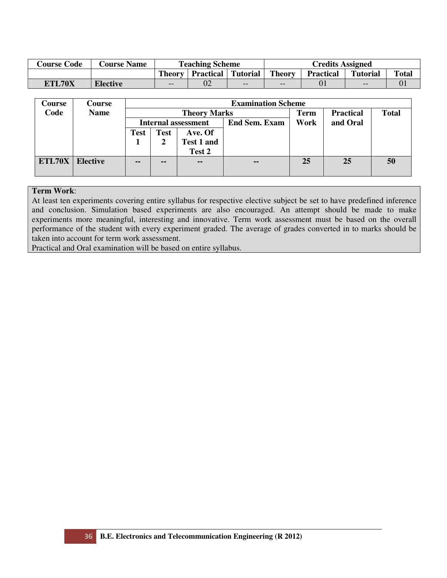| <b>Course Code</b> | <b>Course Name</b> |                                              | <b>Teaching Scheme</b> |     | <b>Credits Assigned</b> |                  |                 |              |  |
|--------------------|--------------------|----------------------------------------------|------------------------|-----|-------------------------|------------------|-----------------|--------------|--|
|                    |                    | <b>Practical   Tutorial</b><br><b>Theory</b> |                        |     | <b>Theory</b>           | <b>Practical</b> | <b>Tutorial</b> | <b>Total</b> |  |
| <b>ETL70X</b>      | <b>Elective</b>    | 02<br>$-$                                    |                        | $-$ | $- -$                   | 01               | --              |              |  |

| <b>Course</b> | <b>Course</b>   |             | <b>Examination Scheme</b> |                            |                      |             |                  |              |  |  |  |  |
|---------------|-----------------|-------------|---------------------------|----------------------------|----------------------|-------------|------------------|--------------|--|--|--|--|
| Code          | <b>Name</b>     |             |                           | <b>Theory Marks</b>        |                      | <b>Term</b> | <b>Practical</b> | <b>Total</b> |  |  |  |  |
|               |                 |             |                           | <b>Internal assessment</b> | <b>End Sem. Exam</b> | Work        | and Oral         |              |  |  |  |  |
|               |                 | <b>Test</b> | Test                      | Ave. Of                    |                      |             |                  |              |  |  |  |  |
|               |                 |             |                           | <b>Test 1 and</b>          |                      |             |                  |              |  |  |  |  |
|               |                 |             |                           | Test 2                     |                      |             |                  |              |  |  |  |  |
| ETL70X        | <b>Elective</b> | $\sim$      | $\sim$                    | $\sim$ $\sim$              | $\sim$ $\sim$        | 25          | 25               | 50           |  |  |  |  |
|               |                 |             |                           |                            |                      |             |                  |              |  |  |  |  |

At least ten experiments covering entire syllabus for respective elective subject be set to have predefined inference and conclusion. Simulation based experiments are also encouraged. An attempt should be made to make experiments more meaningful, interesting and innovative. Term work assessment must be based on the overall performance of the student with every experiment graded. The average of grades converted in to marks should be taken into account for term work assessment.

Practical and Oral examination will be based on entire syllabus.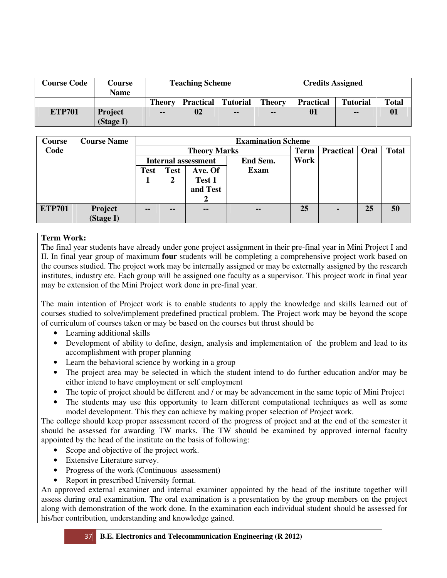| <b>Course Code</b> | Course<br><b>Name</b> |               | <b>Teaching Scheme</b>    |               | <b>Credits Assigned</b> |                  |                 |              |  |
|--------------------|-----------------------|---------------|---------------------------|---------------|-------------------------|------------------|-----------------|--------------|--|
|                    |                       | <b>Theory</b> | <b>Practical</b> Tutorial |               | <b>Theory</b>           | <b>Practical</b> | <b>Tutorial</b> | <b>Total</b> |  |
| <b>ETP701</b>      | Project<br>(Stage I)  | --            | 02                        | $\sim$ $\sim$ | --                      | 01               | $\sim$ $\sim$   | 01           |  |

| Course        | <b>Course Name</b> |             | <b>Examination Scheme</b> |                            |               |             |                  |      |              |  |  |  |
|---------------|--------------------|-------------|---------------------------|----------------------------|---------------|-------------|------------------|------|--------------|--|--|--|
| Code          |                    |             |                           | <b>Theory Marks</b>        |               | <b>Term</b> | <b>Practical</b> | Oral | <b>Total</b> |  |  |  |
|               |                    |             |                           | <b>Internal assessment</b> | End Sem.      | Work        |                  |      |              |  |  |  |
|               |                    | <b>Test</b> | <b>Test</b>               | Ave. Of                    | <b>Exam</b>   |             |                  |      |              |  |  |  |
|               |                    | л           | 2                         | Test 1                     |               |             |                  |      |              |  |  |  |
|               |                    |             |                           | and Test                   |               |             |                  |      |              |  |  |  |
|               |                    |             |                           | 2                          |               |             |                  |      |              |  |  |  |
| <b>ETP701</b> | Project            | $- -$       | --                        | --                         | $\sim$ $\sim$ | 25          | $\blacksquare$   | 25   | 50           |  |  |  |
|               | (Stage I)          |             |                           |                            |               |             |                  |      |              |  |  |  |

The final year students have already under gone project assignment in their pre-final year in Mini Project I and II. In final year group of maximum **four** students will be completing a comprehensive project work based on the courses studied. The project work may be internally assigned or may be externally assigned by the research institutes, industry etc. Each group will be assigned one faculty as a supervisor. This project work in final year may be extension of the Mini Project work done in pre-final year.

The main intention of Project work is to enable students to apply the knowledge and skills learned out of courses studied to solve/implement predefined practical problem. The Project work may be beyond the scope of curriculum of courses taken or may be based on the courses but thrust should be

- Learning additional skills
- Development of ability to define, design, analysis and implementation of the problem and lead to its accomplishment with proper planning
- Learn the behavioral science by working in a group
- The project area may be selected in which the student intend to do further education and/or may be either intend to have employment or self employment
- The topic of project should be different and / or may be advancement in the same topic of Mini Project
- The students may use this opportunity to learn different computational techniques as well as some model development. This they can achieve by making proper selection of Project work.

The college should keep proper assessment record of the progress of project and at the end of the semester it should be assessed for awarding TW marks. The TW should be examined by approved internal faculty appointed by the head of the institute on the basis of following:

- Scope and objective of the project work.
- Extensive Literature survey.
- Progress of the work (Continuous assessment)
- Report in prescribed University format.

An approved external examiner and internal examiner appointed by the head of the institute together will assess during oral examination. The oral examination is a presentation by the group members on the project along with demonstration of the work done. In the examination each individual student should be assessed for his/her contribution, understanding and knowledge gained.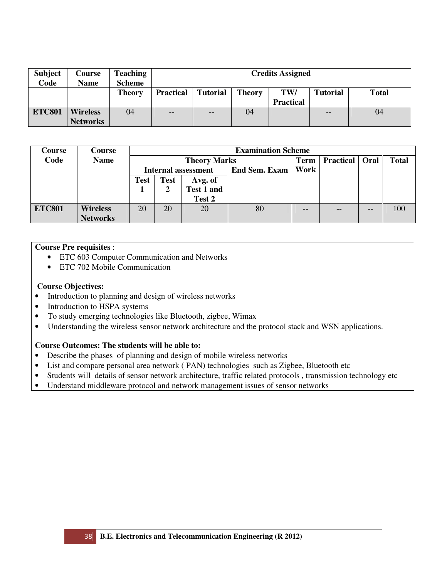| <b>Subject</b> | <b>Course</b>   | <b>Teaching</b> |                  |                 |               | <b>Credits Assigned</b> |                 |              |  |  |  |  |
|----------------|-----------------|-----------------|------------------|-----------------|---------------|-------------------------|-----------------|--------------|--|--|--|--|
| Code           | Name            | <b>Scheme</b>   |                  |                 |               |                         |                 |              |  |  |  |  |
|                |                 | Theory          | <b>Practical</b> | <b>Tutorial</b> | <b>Theory</b> | TW/                     | <b>Tutorial</b> | <b>Total</b> |  |  |  |  |
|                |                 |                 |                  |                 |               | <b>Practical</b>        |                 |              |  |  |  |  |
| <b>ETC801</b>  | <b>Wireless</b> | 04              | $- -$            | $- -$           | 04            |                         | $- -$           | 04           |  |  |  |  |
|                | <b>Networks</b> |                 |                  |                 |               |                         |                 |              |  |  |  |  |

| Course        | Course          |      |             |                     | <b>Examination Scheme</b> |             |                  |      |              |  |
|---------------|-----------------|------|-------------|---------------------|---------------------------|-------------|------------------|------|--------------|--|
| Code          | <b>Name</b>     |      |             | <b>Theory Marks</b> |                           | <b>Term</b> | <b>Practical</b> | Oral | <b>Total</b> |  |
|               |                 |      |             | Internal assessment | End Sem. Exam             | Work        |                  |      |              |  |
|               |                 | Test | <b>Test</b> | Avg. of             |                           |             |                  |      |              |  |
|               |                 |      |             | Test 1 and          |                           |             |                  |      |              |  |
|               |                 |      |             | Test 2              |                           |             |                  |      |              |  |
| <b>ETC801</b> | <b>Wireless</b> | 20   | 20          | 20                  | 80                        | --          |                  | --   | 100          |  |
|               | <b>Networks</b> |      |             |                     |                           |             |                  |      |              |  |

# **Course Pre requisites** :

- ETC 603 Computer Communication and Networks
- ETC 702 Mobile Communication

# **Course Objectives:**

- Introduction to planning and design of wireless networks
- Introduction to HSPA systems
- To study emerging technologies like Bluetooth, zigbee, Wimax
- Understanding the wireless sensor network architecture and the protocol stack and WSN applications.

# **Course Outcomes: The students will be able to:**

- Describe the phases of planning and design of mobile wireless networks
- List and compare personal area network (PAN) technologies such as Zigbee, Bluetooth etc
- Students will details of sensor network architecture, traffic related protocols , transmission technology etc
- Understand middleware protocol and network management issues of sensor networks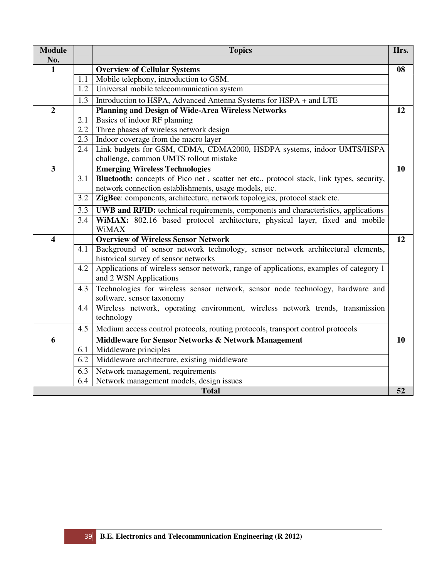| <b>Module</b><br>No.    |     | <b>Topics</b>                                                                                                           | Hrs.      |
|-------------------------|-----|-------------------------------------------------------------------------------------------------------------------------|-----------|
| $\mathbf{1}$            |     | <b>Overview of Cellular Systems</b>                                                                                     | 08        |
|                         | 1.1 | Mobile telephony, introduction to GSM.                                                                                  |           |
|                         | 1.2 | Universal mobile telecommunication system                                                                               |           |
|                         | 1.3 | Introduction to HSPA, Advanced Antenna Systems for HSPA + and LTE                                                       |           |
| $\overline{2}$          |     | <b>Planning and Design of Wide-Area Wireless Networks</b>                                                               | 12        |
|                         | 2.1 | Basics of indoor RF planning                                                                                            |           |
|                         | 2.2 | Three phases of wireless network design                                                                                 |           |
|                         | 2.3 | Indoor coverage from the macro layer                                                                                    |           |
|                         | 2.4 | Link budgets for GSM, CDMA, CDMA2000, HSDPA systems, indoor UMTS/HSPA                                                   |           |
|                         |     | challenge, common UMTS rollout mistake                                                                                  |           |
| $\overline{\mathbf{3}}$ |     | <b>Emerging Wireless Technologies</b>                                                                                   | <b>10</b> |
|                         | 3.1 | Bluetooth: concepts of Pico net, scatter net etc., protocol stack, link types, security,                                |           |
|                         |     | network connection establishments, usage models, etc.                                                                   |           |
|                         | 3.2 | ZigBee: components, architecture, network topologies, protocol stack etc.                                               |           |
|                         | 3.3 | UWB and RFID: technical requirements, components and characteristics, applications                                      |           |
|                         | 3.4 | WiMAX: 802.16 based protocol architecture, physical layer, fixed and mobile                                             |           |
|                         |     | <b>WiMAX</b>                                                                                                            |           |
| $\overline{\mathbf{4}}$ |     | <b>Overview of Wireless Sensor Network</b>                                                                              | 12        |
|                         | 4.1 | Background of sensor network technology, sensor network architectural elements,<br>historical survey of sensor networks |           |
|                         | 4.2 | Applications of wireless sensor network, range of applications, examples of category 1<br>and 2 WSN Applications        |           |
|                         | 4.3 | Technologies for wireless sensor network, sensor node technology, hardware and<br>software, sensor taxonomy             |           |
|                         | 4.4 | Wireless network, operating environment, wireless network trends, transmission<br>technology                            |           |
|                         | 4.5 | Medium access control protocols, routing protocols, transport control protocols                                         |           |
| 6                       |     | <b>Middleware for Sensor Networks &amp; Network Management</b>                                                          | 10        |
|                         | 6.1 | Middleware principles                                                                                                   |           |
|                         | 6.2 | Middleware architecture, existing middleware                                                                            |           |
|                         | 6.3 | Network management, requirements                                                                                        |           |
|                         | 6.4 | Network management models, design issues                                                                                |           |
|                         |     | <b>Total</b>                                                                                                            | 52        |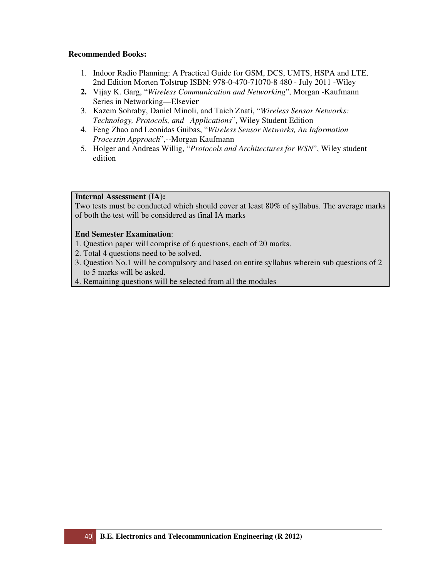- 1. Indoor Radio Planning: A Practical Guide for GSM, DCS, UMTS, HSPA and LTE, 2nd Edition Morten Tolstrup ISBN: 978-0-470-71070-8 480 - July 2011 -Wiley
- **2.** Vijay K. Garg, "*Wireless Communication and Networking*", Morgan -Kaufmann Series in Networking—Elsevi**er**
- 3. Kazem Sohraby, Daniel Minoli, and Taieb Znati, "*Wireless Sensor Networks: Technology, Protocols, and Applications*", Wiley Student Edition
- 4. Feng Zhao and Leonidas Guibas, "*Wireless Sensor Networks, An Information Processin Approach*",--Morgan Kaufmann
- 5. Holger and Andreas Willig, "*Protocols and Architectures for WSN*", Wiley student edition

# **Internal Assessment (IA):**

Two tests must be conducted which should cover at least 80% of syllabus. The average marks of both the test will be considered as final IA marks

- 1. Question paper will comprise of 6 questions, each of 20 marks.
- 2. Total 4 questions need to be solved.
- 3. Question No.1 will be compulsory and based on entire syllabus wherein sub questions of 2 to 5 marks will be asked.
- 4. Remaining questions will be selected from all the modules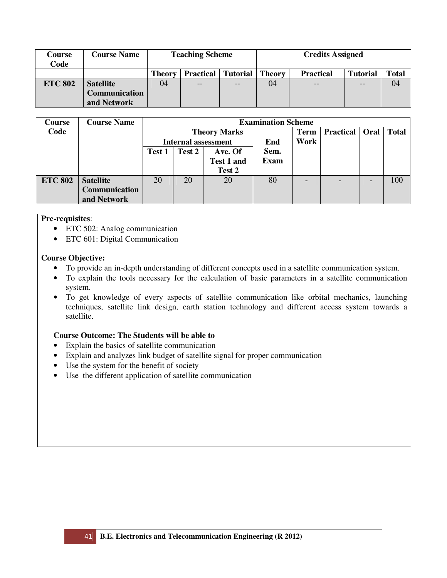| Course<br>Code | <b>Course Name</b>           |               | <b>Teaching Scheme</b> |                 | <b>Credits Assigned</b> |                  |                 |              |  |
|----------------|------------------------------|---------------|------------------------|-----------------|-------------------------|------------------|-----------------|--------------|--|
|                |                              | <b>Theory</b> | <b>Practical</b>       | <b>Tutorial</b> | <b>Theory</b>           | <b>Practical</b> | <b>Tutorial</b> | <b>Total</b> |  |
| <b>ETC 802</b> | <b>Satellite</b>             | 04            | $- -$<br>$- -$         |                 |                         | $- -$            | $- -$           | 04           |  |
|                | Communication<br>and Network |               |                        |                 |                         |                  |                 |              |  |

| Course         | <b>Course Name</b> |        |        |                            | <b>Examination Scheme</b> |             |                         |              |
|----------------|--------------------|--------|--------|----------------------------|---------------------------|-------------|-------------------------|--------------|
| Code           |                    |        |        | <b>Theory Marks</b>        |                           | <b>Term</b> | <b>Practical   Oral</b> | <b>Total</b> |
|                |                    |        |        | <b>Internal assessment</b> | End                       | Work        |                         |              |
|                |                    | Test 1 | Test 2 | Ave. Of                    | Sem.                      |             |                         |              |
|                |                    |        |        | <b>Test 1 and</b>          | <b>Exam</b>               |             |                         |              |
|                |                    |        |        | Test 2                     |                           |             |                         |              |
| <b>ETC 802</b> | <b>Satellite</b>   | 20     | 20     | 20                         | 80                        |             | ۰                       | 100          |
|                | Communication      |        |        |                            |                           |             |                         |              |
|                | and Network        |        |        |                            |                           |             |                         |              |

#### **Pre-requisites**:

- ETC 502: Analog communication
- ETC 601: Digital Communication

# **Course Objective:**

- To provide an in-depth understanding of different concepts used in a satellite communication system.
- To explain the tools necessary for the calculation of basic parameters in a satellite communication system.
- To get knowledge of every aspects of satellite communication like orbital mechanics, launching techniques, satellite link design, earth station technology and different access system towards a satellite.

# **Course Outcome: The Students will be able to**

- Explain the basics of satellite communication
- Explain and analyzes link budget of satellite signal for proper communication
- Use the system for the benefit of society
- Use the different application of satellite communication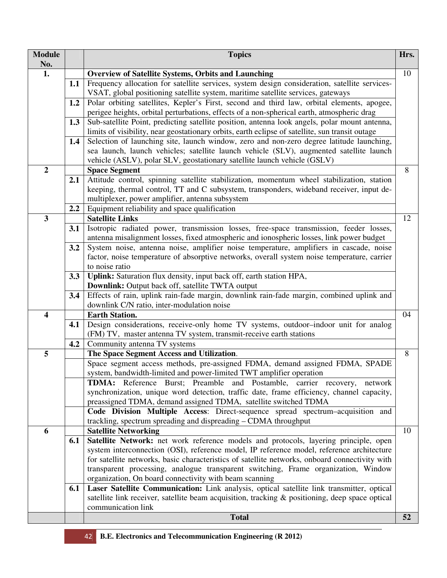| <b>Module</b><br>No.    |     | <b>Topics</b>                                                                                                                                                                                                                                                   | Hrs. |
|-------------------------|-----|-----------------------------------------------------------------------------------------------------------------------------------------------------------------------------------------------------------------------------------------------------------------|------|
| 1.                      |     | <b>Overview of Satellite Systems, Orbits and Launching</b>                                                                                                                                                                                                      | 10   |
|                         | 1.1 | Frequency allocation for satellite services, system design consideration, satellite services-                                                                                                                                                                   |      |
|                         |     | VSAT, global positioning satellite system, maritime satellite services, gateways                                                                                                                                                                                |      |
|                         | 1.2 | Polar orbiting satellites, Kepler's First, second and third law, orbital elements, apogee,                                                                                                                                                                      |      |
|                         |     | perigee heights, orbital perturbations, effects of a non-spherical earth, atmospheric drag                                                                                                                                                                      |      |
|                         | 1.3 | Sub-satellite Point, predicting satellite position, antenna look angels, polar mount antenna,                                                                                                                                                                   |      |
|                         |     | limits of visibility, near geostationary orbits, earth eclipse of satellite, sun transit outage                                                                                                                                                                 |      |
|                         | 1.4 | Selection of launching site, launch window, zero and non-zero degree latitude launching,<br>sea launch, launch vehicles; satellite launch vehicle (SLV), augmented satellite launch<br>vehicle (ASLV), polar SLV, geostationary satellite launch vehicle (GSLV) |      |
| $\boldsymbol{2}$        |     | <b>Space Segment</b>                                                                                                                                                                                                                                            | 8    |
|                         | 2.1 | Attitude control, spinning satellite stabilization, momentum wheel stabilization, station<br>keeping, thermal control, TT and C subsystem, transponders, wideband receiver, input de-<br>multiplexer, power amplifier, antenna subsystem                        |      |
|                         | 2.2 | Equipment reliability and space qualification                                                                                                                                                                                                                   |      |
| $\mathbf{3}$            |     | <b>Satellite Links</b>                                                                                                                                                                                                                                          | 12   |
|                         | 3.1 | Isotropic radiated power, transmission losses, free-space transmission, feeder losses,<br>antenna misalignment losses, fixed atmospheric and ionospheric losses, link power budget                                                                              |      |
|                         | 3.2 | System noise, antenna noise, amplifier noise temperature, amplifiers in cascade, noise<br>factor, noise temperature of absorptive networks, overall system noise temperature, carrier                                                                           |      |
|                         |     | to noise ratio                                                                                                                                                                                                                                                  |      |
|                         | 3.3 | Uplink: Saturation flux density, input back off, earth station HPA,                                                                                                                                                                                             |      |
|                         |     | Downlink: Output back off, satellite TWTA output                                                                                                                                                                                                                |      |
|                         | 3.4 | Effects of rain, uplink rain-fade margin, downlink rain-fade margin, combined uplink and<br>downlink C/N ratio, inter-modulation noise                                                                                                                          |      |
| $\overline{\mathbf{4}}$ |     | <b>Earth Station.</b>                                                                                                                                                                                                                                           | 04   |
|                         | 4.1 | Design considerations, receive-only home TV systems, outdoor-indoor unit for analog                                                                                                                                                                             |      |
|                         |     | (FM) TV, master antenna TV system, transmit-receive earth stations                                                                                                                                                                                              |      |
|                         | 4.2 | Community antenna TV systems                                                                                                                                                                                                                                    |      |
| 5                       |     | The Space Segment Access and Utilization.                                                                                                                                                                                                                       | 8    |
|                         |     | Space segment access methods, pre-assigned FDMA, demand assigned FDMA, SPADE                                                                                                                                                                                    |      |
|                         |     | system, bandwidth-limited and power-limited TWT amplifier operation                                                                                                                                                                                             |      |
|                         |     | <b>TDMA:</b> Reference Burst; Preamble and Postamble, carrier recovery, network                                                                                                                                                                                 |      |
|                         |     | synchronization, unique word detection, traffic date, frame efficiency, channel capacity,                                                                                                                                                                       |      |
|                         |     | preassigned TDMA, demand assigned TDMA, satellite switched TDMA                                                                                                                                                                                                 |      |
|                         |     | Code Division Multiple Access: Direct-sequence spread spectrum-acquisition and                                                                                                                                                                                  |      |
|                         |     | trackling, spectrum spreading and dispreading – CDMA throughput                                                                                                                                                                                                 |      |
| 6                       |     | <b>Satellite Networking</b>                                                                                                                                                                                                                                     | 10   |
|                         | 6.1 | Satellite Network: net work reference models and protocols, layering principle, open                                                                                                                                                                            |      |
|                         |     | system interconnection (OSI), reference model, IP reference model, reference architecture                                                                                                                                                                       |      |
|                         |     | for satellite networks, basic characteristics of satellite networks, onboard connectivity with                                                                                                                                                                  |      |
|                         |     | transparent processing, analogue transparent switching, Frame organization, Window                                                                                                                                                                              |      |
|                         |     | organization, On board connectivity with beam scanning                                                                                                                                                                                                          |      |
|                         | 6.1 | Laser Satellite Communication: Link analysis, optical satellite link transmitter, optical<br>satellite link receiver, satellite beam acquisition, tracking & positioning, deep space optical                                                                    |      |
|                         |     | communication link                                                                                                                                                                                                                                              |      |
|                         |     | <b>Total</b>                                                                                                                                                                                                                                                    | 52   |
|                         |     |                                                                                                                                                                                                                                                                 |      |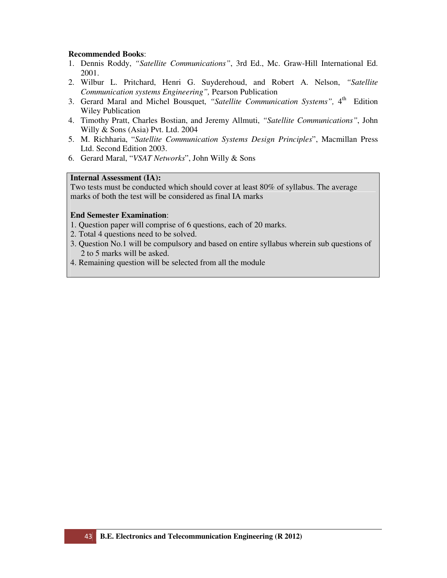- 1. Dennis Roddy, *"Satellite Communications"*, 3rd Ed., Mc. Graw-Hill International Ed. 2001.
- 2. Wilbur L. Pritchard, Henri G. Suyderehoud, and Robert A. Nelson, *"Satellite Communication systems Engineering",* Pearson Publication
- 3. Gerard Maral and Michel Bousquet, "Satellite Communication Systems", 4<sup>th</sup> Edition Wiley Publication
- 4. Timothy Pratt, Charles Bostian, and Jeremy Allmuti, *"Satellite Communications"*, John Willy & Sons (Asia) Pvt. Ltd. 2004
- 5. M. Richharia, "*Satellite Communication Systems Design Principles*", Macmillan Press Ltd. Second Edition 2003.
- 6. Gerard Maral, "*VSAT Networks*", John Willy & Sons

# **Internal Assessment (IA):**

Two tests must be conducted which should cover at least 80% of syllabus. The average marks of both the test will be considered as final IA marks

- 1. Question paper will comprise of 6 questions, each of 20 marks.
- 2. Total 4 questions need to be solved.
- 3. Question No.1 will be compulsory and based on entire syllabus wherein sub questions of 2 to 5 marks will be asked.
- 4. Remaining question will be selected from all the module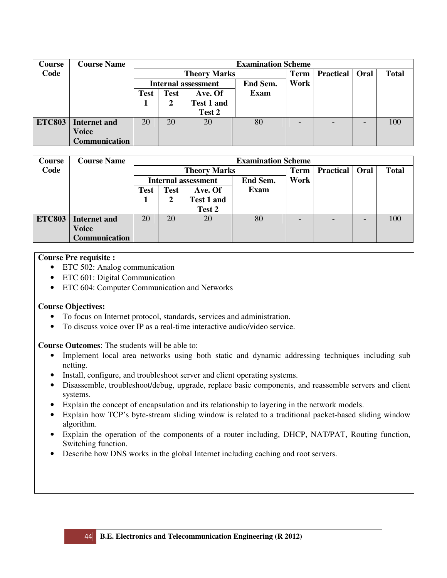| <b>Course</b> | <b>Course Name</b>   |             |             |                            | <b>Examination Scheme</b> |                          |                  |      |              |
|---------------|----------------------|-------------|-------------|----------------------------|---------------------------|--------------------------|------------------|------|--------------|
| Code          |                      |             |             | <b>Theory Marks</b>        |                           | <b>Term</b>              | <b>Practical</b> | Oral | <b>Total</b> |
|               |                      |             |             | <b>Internal assessment</b> | End Sem.                  | Work                     |                  |      |              |
|               |                      | <b>Test</b> | <b>Test</b> | Ave. Of                    | Exam                      |                          |                  |      |              |
|               |                      |             | 2           | Test 1 and                 |                           |                          |                  |      |              |
|               |                      |             |             | Test 2                     |                           |                          |                  |      |              |
| <b>ETC803</b> | <b>Internet and</b>  | 20          | 20          | 20                         | 80                        | $\overline{\phantom{a}}$ |                  |      | 100          |
|               | <b>Voice</b>         |             |             |                            |                           |                          |                  |      |              |
|               | <b>Communication</b> |             |             |                            |                           |                          |                  |      |              |

| <b>Course</b> | <b>Course Name</b>   |             |             |                            | <b>Examination Scheme</b> |                          |                  |      |              |  |  |
|---------------|----------------------|-------------|-------------|----------------------------|---------------------------|--------------------------|------------------|------|--------------|--|--|
| Code          |                      |             |             | <b>Theory Marks</b>        |                           | <b>Term</b>              | <b>Practical</b> | Oral | <b>Total</b> |  |  |
|               |                      |             |             | <b>Internal assessment</b> | <b>End Sem.</b>           | Work                     |                  |      |              |  |  |
|               |                      | <b>Test</b> | <b>Test</b> | Ave. Of                    | Exam                      |                          |                  |      |              |  |  |
|               |                      |             |             | <b>Test 1 and</b>          |                           |                          |                  |      |              |  |  |
|               |                      |             |             | Test 2                     |                           |                          |                  |      |              |  |  |
| <b>ETC803</b> | <b>Internet and</b>  | 20          | 20          | 20                         | 80                        | $\overline{\phantom{a}}$ |                  |      | 100          |  |  |
|               | <b>Voice</b>         |             |             |                            |                           |                          |                  |      |              |  |  |
|               | <b>Communication</b> |             |             |                            |                           |                          |                  |      |              |  |  |

# **Course Pre requisite :**

- ETC 502: Analog communication
- ETC 601: Digital Communication
- ETC 604: Computer Communication and Networks

# **Course Objectives:**

- To focus on Internet protocol, standards, services and administration.
- To discuss voice over IP as a real-time interactive audio/video service.

**Course Outcomes**: The students will be able to:

- Implement local area networks using both static and dynamic addressing techniques including sub netting.
- Install, configure, and troubleshoot server and client operating systems.
- Disassemble, troubleshoot/debug, upgrade, replace basic components, and reassemble servers and client systems.
- Explain the concept of encapsulation and its relationship to layering in the network models.
- Explain how TCP's byte-stream sliding window is related to a traditional packet-based sliding window algorithm.
- Explain the operation of the components of a router including, DHCP, NAT/PAT, Routing function, Switching function.
- Describe how DNS works in the global Internet including caching and root servers.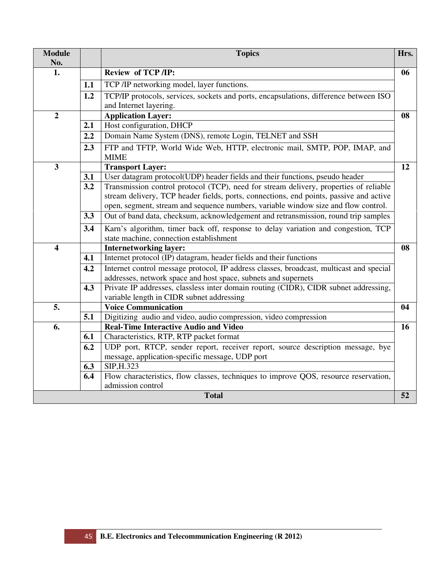| <b>Module</b><br>No.    |     | <b>Topics</b>                                                                                                                | Hrs. |
|-------------------------|-----|------------------------------------------------------------------------------------------------------------------------------|------|
| 1.                      |     | Review of TCP /IP:                                                                                                           | 06   |
|                         | 1.1 | TCP /IP networking model, layer functions.                                                                                   |      |
|                         | 1.2 | TCP/IP protocols, services, sockets and ports, encapsulations, difference between ISO                                        |      |
|                         |     | and Internet layering.                                                                                                       |      |
| $\overline{2}$          |     | <b>Application Layer:</b>                                                                                                    | 08   |
|                         | 2.1 | Host configuration, DHCP                                                                                                     |      |
|                         | 2.2 | Domain Name System (DNS), remote Login, TELNET and SSH                                                                       |      |
|                         | 2.3 | FTP and TFTP, World Wide Web, HTTP, electronic mail, SMTP, POP, IMAP, and<br><b>MIME</b>                                     |      |
| $\mathbf{3}$            |     | <b>Transport Layer:</b>                                                                                                      | 12   |
|                         | 3.1 | User datagram protocol(UDP) header fields and their functions, pseudo header                                                 |      |
|                         | 3.2 | Transmission control protocol (TCP), need for stream delivery, properties of reliable                                        |      |
|                         |     | stream delivery, TCP header fields, ports, connections, end points, passive and active                                       |      |
|                         |     | open, segment, stream and sequence numbers, variable window size and flow control.                                           |      |
|                         | 3.3 | Out of band data, checksum, acknowledgement and retransmission, round trip samples                                           |      |
|                         | 3.4 | Karn's algorithm, timer back off, response to delay variation and congestion, TCP<br>state machine, connection establishment |      |
| $\overline{\mathbf{4}}$ |     | <b>Internetworking layer:</b>                                                                                                | 08   |
|                         | 4.1 | Internet protocol (IP) datagram, header fields and their functions                                                           |      |
|                         | 4.2 | Internet control message protocol, IP address classes, broadcast, multicast and special                                      |      |
|                         |     | addresses, network space and host space, subnets and supernets                                                               |      |
|                         | 4.3 | Private IP addresses, classless inter domain routing (CIDR), CIDR subnet addressing,                                         |      |
|                         |     | variable length in CIDR subnet addressing                                                                                    |      |
| 5.                      | 5.1 | <b>Voice Communication</b><br>Digitizing audio and video, audio compression, video compression                               | 04   |
| 6.                      |     | <b>Real-Time Interactive Audio and Video</b>                                                                                 | 16   |
|                         | 6.1 | Characteristics, RTP, RTP packet format                                                                                      |      |
|                         | 6.2 | UDP port, RTCP, sender report, receiver report, source description message, bye                                              |      |
|                         |     | message, application-specific message, UDP port                                                                              |      |
|                         | 6.3 | SIP, H.323                                                                                                                   |      |
|                         | 6.4 | Flow characteristics, flow classes, techniques to improve QOS, resource reservation,                                         |      |
|                         |     | admission control<br><b>Total</b>                                                                                            | 52   |
|                         |     |                                                                                                                              |      |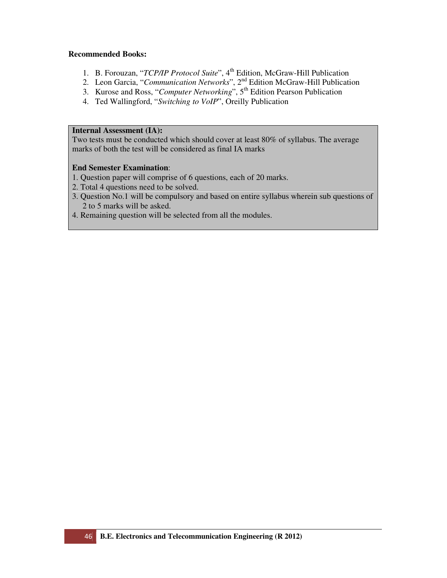- 1. B. Forouzan, "*TCP/IP Protocol Suite*", 4<sup>th</sup> Edition, McGraw-Hill Publication
- 2. Leon Garcia, "*Communication Networks*", 2nd Edition McGraw-Hill Publication
- 3. Kurose and Ross, "*Computer Networking*", 5<sup>th</sup> Edition Pearson Publication
- 4. Ted Wallingford, "*Switching to VoIP*", Oreilly Publication

#### **Internal Assessment (IA):**

Two tests must be conducted which should cover at least 80% of syllabus. The average marks of both the test will be considered as final IA marks

- 1. Question paper will comprise of 6 questions, each of 20 marks.
- 2. Total 4 questions need to be solved.
- 3. Question No.1 will be compulsory and based on entire syllabus wherein sub questions of 2 to 5 marks will be asked.
- 4. Remaining question will be selected from all the modules.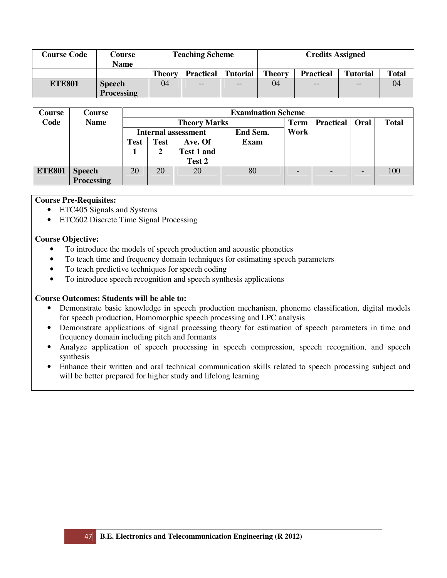| <b>Course Code</b> | Course<br><b>Name</b>              |               | <b>Teaching Scheme</b>    |       | <b>Credits Assigned</b> |                  |                 |              |  |
|--------------------|------------------------------------|---------------|---------------------------|-------|-------------------------|------------------|-----------------|--------------|--|
|                    |                                    | <b>Theory</b> | <b>Practical</b> Tutorial |       | <b>Theory</b>           | <b>Practical</b> | <b>Tutorial</b> | <b>Total</b> |  |
| <b>ETE801</b>      | <b>Speech</b><br><b>Processing</b> | 04            | $ -$                      | $- -$ | 04                      | $-$              | $- -$           | 04           |  |

| <b>Course</b> | Course        |                            |             |                     | <b>Examination Scheme</b> |             |                  |      |              |
|---------------|---------------|----------------------------|-------------|---------------------|---------------------------|-------------|------------------|------|--------------|
| Code          | <b>Name</b>   |                            |             | <b>Theory Marks</b> |                           | <b>Term</b> | <b>Practical</b> | Oral | <b>Total</b> |
|               |               | <b>Internal assessment</b> |             |                     | End Sem.                  | Work        |                  |      |              |
|               |               | <b>Test</b>                | <b>Test</b> | Ave. Of             | <b>Exam</b>               |             |                  |      |              |
|               |               |                            |             | <b>Test 1 and</b>   |                           |             |                  |      |              |
|               |               |                            |             | Test 2              |                           |             |                  |      |              |
| <b>ETE801</b> | <b>Speech</b> | 20                         | 20          | 20                  | 80                        |             |                  |      | 100          |
|               | Processing    |                            |             |                     |                           |             |                  |      |              |

# **Course Pre-Requisites:**

- ETC405 Signals and Systems
- ETC602 Discrete Time Signal Processing

# **Course Objective:**

- To introduce the models of speech production and acoustic phonetics
- To teach time and frequency domain techniques for estimating speech parameters
- To teach predictive techniques for speech coding
- To introduce speech recognition and speech synthesis applications

# **Course Outcomes: Students will be able to:**

- Demonstrate basic knowledge in speech production mechanism, phoneme classification, digital models for speech production, Homomorphic speech processing and LPC analysis
- Demonstrate applications of signal processing theory for estimation of speech parameters in time and frequency domain including pitch and formants
- Analyze application of speech processing in speech compression, speech recognition, and speech synthesis
- Enhance their written and oral technical communication skills related to speech processing subject and will be better prepared for higher study and lifelong learning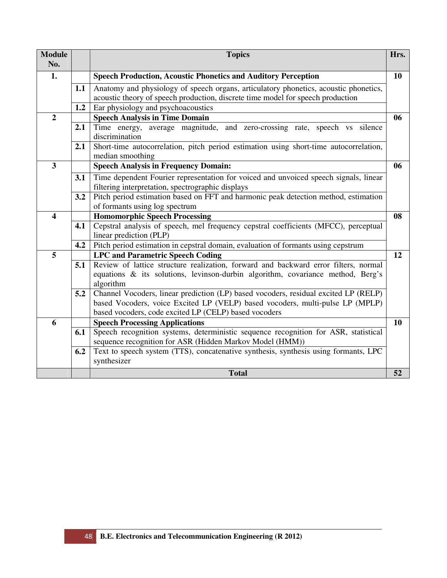| <b>Module</b><br>No.    |     | <b>Topics</b>                                                                                                                                                                                                                 | Hrs. |
|-------------------------|-----|-------------------------------------------------------------------------------------------------------------------------------------------------------------------------------------------------------------------------------|------|
| 1.                      |     | <b>Speech Production, Acoustic Phonetics and Auditory Perception</b>                                                                                                                                                          | 10   |
|                         | 1.1 | Anatomy and physiology of speech organs, articulatory phonetics, acoustic phonetics,<br>acoustic theory of speech production, discrete time model for speech production                                                       |      |
|                         | 1.2 | Ear physiology and psychoacoustics                                                                                                                                                                                            |      |
| $\overline{2}$          |     | <b>Speech Analysis in Time Domain</b>                                                                                                                                                                                         | 06   |
|                         | 2.1 | Time energy, average magnitude, and zero-crossing rate, speech vs silence<br>discrimination                                                                                                                                   |      |
|                         | 2.1 | Short-time autocorrelation, pitch period estimation using short-time autocorrelation,<br>median smoothing                                                                                                                     |      |
| $\overline{\mathbf{3}}$ |     | <b>Speech Analysis in Frequency Domain:</b>                                                                                                                                                                                   | 06   |
|                         | 3.1 | Time dependent Fourier representation for voiced and unvoiced speech signals, linear<br>filtering interpretation, spectrographic displays                                                                                     |      |
|                         | 3.2 | Pitch period estimation based on FFT and harmonic peak detection method, estimation<br>of formants using log spectrum                                                                                                         |      |
| $\overline{\mathbf{4}}$ |     | <b>Homomorphic Speech Processing</b>                                                                                                                                                                                          | 08   |
|                         | 4.1 | Cepstral analysis of speech, mel frequency cepstral coefficients (MFCC), perceptual<br>linear prediction (PLP)                                                                                                                |      |
|                         | 4.2 | Pitch period estimation in cepstral domain, evaluation of formants using cepstrum                                                                                                                                             |      |
| 5                       |     | <b>LPC and Parametric Speech Coding</b>                                                                                                                                                                                       | 12   |
|                         | 5.1 | Review of lattice structure realization, forward and backward error filters, normal<br>equations & its solutions, levinson-durbin algorithm, covariance method, Berg's<br>algorithm                                           |      |
|                         | 5.2 | Channel Vocoders, linear prediction (LP) based vocoders, residual excited LP (RELP)<br>based Vocoders, voice Excited LP (VELP) based vocoders, multi-pulse LP (MPLP)<br>based vocoders, code excited LP (CELP) based vocoders |      |
| 6                       |     | <b>Speech Processing Applications</b>                                                                                                                                                                                         | 10   |
|                         | 6.1 | Speech recognition systems, deterministic sequence recognition for ASR, statistical<br>sequence recognition for ASR (Hidden Markov Model (HMM))                                                                               |      |
|                         | 6.2 | Text to speech system (TTS), concatenative synthesis, synthesis using formants, LPC<br>synthesizer                                                                                                                            |      |
|                         |     | <b>Total</b>                                                                                                                                                                                                                  | 52   |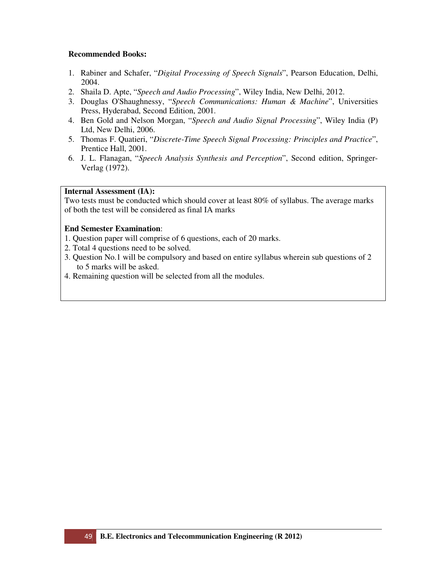- 1. Rabiner and Schafer, "*Digital Processing of Speech Signals*", Pearson Education, Delhi, 2004.
- 2. Shaila D. Apte, "*Speech and Audio Processing*", Wiley India, New Delhi, 2012.
- 3. Douglas O'Shaughnessy, "*Speech Communications: Human & Machine*", Universities Press, Hyderabad, Second Edition, 2001.
- 4. Ben Gold and Nelson Morgan, "*Speech and Audio Signal Processing*", Wiley India (P) Ltd, New Delhi, 2006.
- 5. Thomas F. Quatieri, "*Discrete-Time Speech Signal Processing: Principles and Practice*", Prentice Hall, 2001.
- 6. J. L. Flanagan, "*Speech Analysis Synthesis and Perception*", Second edition, Springer-Verlag (1972).

# **Internal Assessment (IA):**

Two tests must be conducted which should cover at least 80% of syllabus. The average marks of both the test will be considered as final IA marks

- 1. Question paper will comprise of 6 questions, each of 20 marks.
- 2. Total 4 questions need to be solved.
- 3. Question No.1 will be compulsory and based on entire syllabus wherein sub questions of 2 to 5 marks will be asked.
- 4. Remaining question will be selected from all the modules.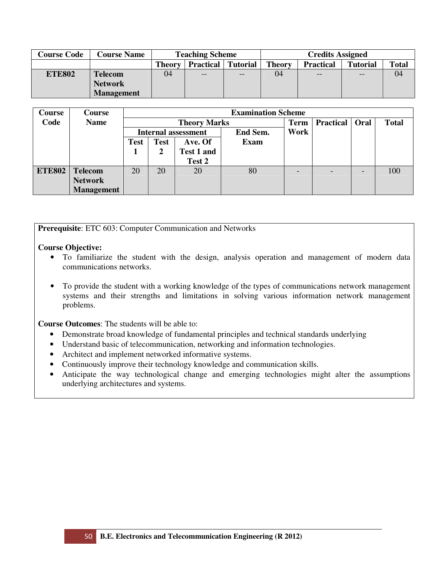| <b>Course Code</b> | <b>Course Name</b> | <b>Teaching Scheme</b> |                  |          | <b>Credits Assigned</b> |                  |                 |              |  |  |
|--------------------|--------------------|------------------------|------------------|----------|-------------------------|------------------|-----------------|--------------|--|--|
|                    |                    | <b>Theory</b>          | <b>Practical</b> | Tutorial | <b>Theory</b>           | <b>Practical</b> | <b>Tutorial</b> | <b>Total</b> |  |  |
| <b>ETE802</b>      | <b>Telecom</b>     | 04                     | $- -$            | $-$      | 04                      | $- -$            | $-$             | 04           |  |  |
|                    | <b>Network</b>     |                        |                  |          |                         |                  |                 |              |  |  |
|                    | <b>Management</b>  |                        |                  |          |                         |                  |                 |              |  |  |

| Course        | Course            |             |             |                            | <b>Examination Scheme</b> |             |                  |      |              |  |  |
|---------------|-------------------|-------------|-------------|----------------------------|---------------------------|-------------|------------------|------|--------------|--|--|
| Code          | <b>Name</b>       |             |             | <b>Theory Marks</b>        |                           | <b>Term</b> | <b>Practical</b> | Oral | <b>Total</b> |  |  |
|               |                   |             |             | <b>Internal assessment</b> | End Sem.                  | Work        |                  |      |              |  |  |
|               |                   | <b>Test</b> | <b>Test</b> | Ave. Of                    | Exam                      |             |                  |      |              |  |  |
|               |                   |             |             | Test 1 and                 |                           |             |                  |      |              |  |  |
|               |                   |             |             | Test 2                     |                           |             |                  |      |              |  |  |
| <b>ETE802</b> | <b>Telecom</b>    | 20          | 20          | 20                         | 80                        |             | г.               |      | 100          |  |  |
|               | <b>Network</b>    |             |             |                            |                           |             |                  |      |              |  |  |
|               | <b>Management</b> |             |             |                            |                           |             |                  |      |              |  |  |

**Prerequisite**: ETC 603: Computer Communication and Networks

#### **Course Objective:**

- To familiarize the student with the design, analysis operation and management of modern data communications networks.
- To provide the student with a working knowledge of the types of communications network management systems and their strengths and limitations in solving various information network management problems.

**Course Outcomes**: The students will be able to:

- Demonstrate broad knowledge of fundamental principles and technical standards underlying
- Understand basic of telecommunication, networking and information technologies.
- Architect and implement networked informative systems.
- Continuously improve their technology knowledge and communication skills.
- Anticipate the way technological change and emerging technologies might alter the assumptions underlying architectures and systems.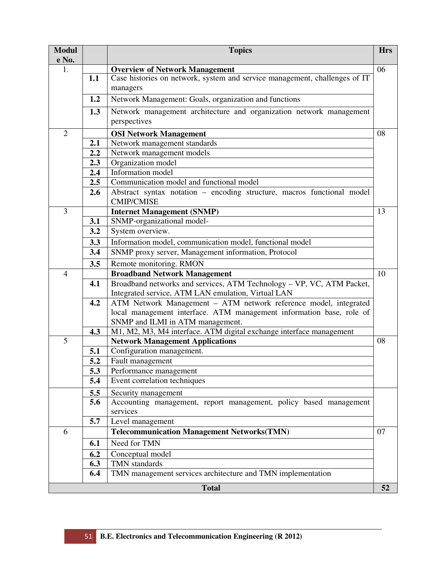| <b>Modul</b><br>e No. |            | <b>Topics</b>                                                                               | <b>Hrs</b> |
|-----------------------|------------|---------------------------------------------------------------------------------------------|------------|
| 1.                    |            | <b>Overview of Network Management</b>                                                       | 06         |
|                       | 1.1        | Case histories on network, system and service management, challenges of IT                  |            |
|                       |            | managers                                                                                    |            |
|                       | 1.2        | Network Management: Goals, organization and functions                                       |            |
|                       | 1.3        | Network management architecture and organization network management                         |            |
|                       |            | perspectives                                                                                |            |
| $\overline{2}$        |            | <b>OSI Network Management</b>                                                               | 08         |
|                       | 2.1        | Network management standards                                                                |            |
|                       | 2.2        | Network management models                                                                   |            |
|                       | 2.3        | Organization model                                                                          |            |
|                       | 2.4        | Information model                                                                           |            |
|                       | 2.5        | Communication model and functional model                                                    |            |
|                       | 2.6        | Abstract syntax notation - encoding structure, macros functional model<br><b>CMIP/CMISE</b> |            |
| 3                     |            | <b>Internet Management (SNMP)</b>                                                           | 13         |
|                       | 3.1        | SNMP-organizational model-                                                                  |            |
|                       | 3.2        | System overview.                                                                            |            |
|                       | 3.3        | Information model, communication model, functional model                                    |            |
|                       | 3.4        | SNMP proxy server, Management information, Protocol                                         |            |
|                       | 3.5        | Remote monitoring. RMON                                                                     |            |
| $\overline{4}$        |            | <b>Broadband Network Management</b>                                                         | 10         |
|                       | 4.1        | Broadband networks and services, ATM Technology - VP, VC, ATM Packet,                       |            |
|                       |            | Integrated service, ATM LAN emulation, Virtual LAN                                          |            |
|                       | 4.2        | ATM Network Management - ATM network reference model, integrated                            |            |
|                       |            | local management interface. ATM management information base, role of                        |            |
|                       |            | SNMP and ILMI in ATM management.                                                            |            |
| 5                     | 4.3        | M1, M2, M3, M4 interface. ATM digital exchange interface management                         | 08         |
|                       | 5.1        | <b>Network Management Applications</b><br>Configuration management.                         |            |
|                       | 5.2        | Fault management                                                                            |            |
|                       | 5.3        | Performance management                                                                      |            |
|                       | 5.4        | Event correlation techniques                                                                |            |
|                       |            |                                                                                             |            |
|                       | 5.5<br>5.6 | Security management<br>Accounting management, report management, policy based management    |            |
|                       |            | services                                                                                    |            |
|                       | 5.7        | Level management                                                                            |            |
| 6                     |            | <b>Telecommunication Management Networks(TMN)</b>                                           | 07         |
|                       | 6.1        | Need for TMN                                                                                |            |
|                       | 6.2        | Conceptual model                                                                            |            |
|                       | 6.3        | TMN standards                                                                               |            |
|                       | 6.4        | TMN management services architecture and TMN implementation                                 |            |
|                       |            | <b>Total</b>                                                                                | 52         |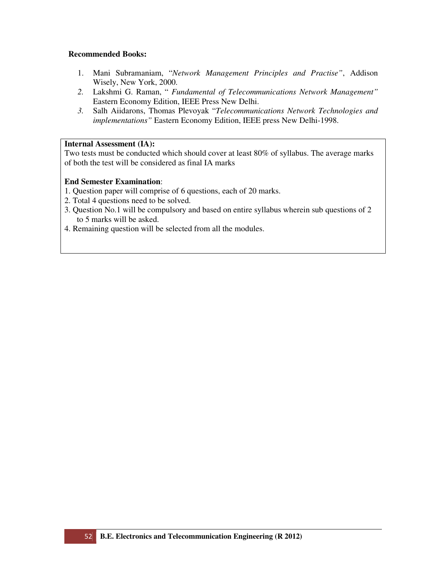- 1. Mani Subramaniam, "*Network Management Principles and Practise"*, Addison Wisely, New York, 2000.
- *2.* Lakshmi G. Raman, " *Fundamental of Telecommunications Network Management"*  Eastern Economy Edition, IEEE Press New Delhi.
- *3.* Salh Aiidarons, Thomas Plevoyak "*Telecommunications Network Technologies and implementations"* Eastern Economy Edition, IEEE press New Delhi-1998.

# **Internal Assessment (IA):**

Two tests must be conducted which should cover at least 80% of syllabus. The average marks of both the test will be considered as final IA marks

- 1. Question paper will comprise of 6 questions, each of 20 marks.
- 2. Total 4 questions need to be solved.
- 3. Question No.1 will be compulsory and based on entire syllabus wherein sub questions of 2 to 5 marks will be asked.
- 4. Remaining question will be selected from all the modules.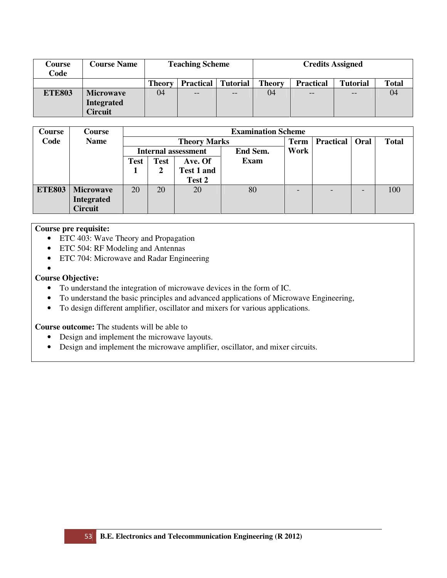| Course<br>Code | <b>Course Name</b>                  |                                                      | <b>Teaching Scheme</b> |       | <b>Credits Assigned</b> |                  |                 |              |  |
|----------------|-------------------------------------|------------------------------------------------------|------------------------|-------|-------------------------|------------------|-----------------|--------------|--|
|                |                                     | <b>Theory</b><br><b>Practical</b><br><b>Tutorial</b> |                        |       | <b>Theory</b>           | <b>Practical</b> | <b>Tutorial</b> | <b>Total</b> |  |
| <b>ETE803</b>  | <b>Microwave</b>                    | 04                                                   | $- -$                  | $- -$ | 04                      | $ -$             | --              | 04           |  |
|                | <b>Integrated</b><br><b>Circuit</b> |                                                      |                        |       |                         |                  |                 |              |  |

| <b>Course</b> | Course           |                            |             |                     | <b>Examination Scheme</b> |      |                         |              |
|---------------|------------------|----------------------------|-------------|---------------------|---------------------------|------|-------------------------|--------------|
| Code          | <b>Name</b>      |                            |             | <b>Theory Marks</b> |                           | Term | <b>Practical</b>   Oral | <b>Total</b> |
|               |                  | <b>Internal assessment</b> |             |                     | End Sem.                  | Work |                         |              |
|               |                  | <b>Test</b>                | <b>Test</b> | Ave. Of             | <b>Exam</b>               |      |                         |              |
|               |                  |                            |             | <b>Test 1 and</b>   |                           |      |                         |              |
|               |                  |                            |             | Test 2              |                           |      |                         |              |
| <b>ETE803</b> | <b>Microwave</b> | 20                         | 20          | 20                  | 80                        |      |                         | 100          |
|               | Integrated       |                            |             |                     |                           |      |                         |              |
|               | <b>Circuit</b>   |                            |             |                     |                           |      |                         |              |

# **Course pre requisite:**

- ETC 403: Wave Theory and Propagation
- ETC 504: RF Modeling and Antennas
- ETC 704: Microwave and Radar Engineering
- •

# **Course Objective:**

- To understand the integration of microwave devices in the form of IC.
- To understand the basic principles and advanced applications of Microwave Engineering,
- To design different amplifier, oscillator and mixers for various applications.

**Course outcome:** The students will be able to

- Design and implement the microwave layouts.
- Design and implement the microwave amplifier, oscillator, and mixer circuits.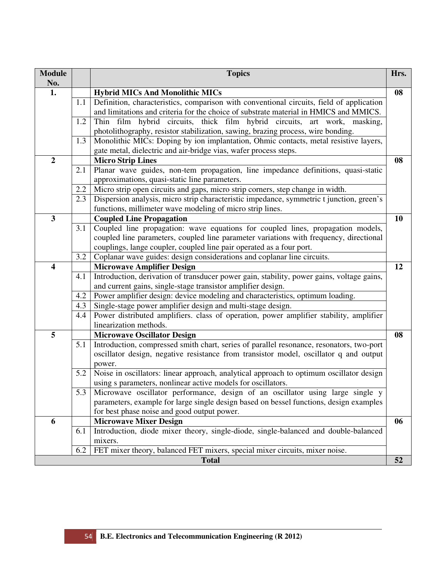| <b>Module</b>    |     | <b>Topics</b>                                                                                                                                            | Hrs. |
|------------------|-----|----------------------------------------------------------------------------------------------------------------------------------------------------------|------|
| No.              |     |                                                                                                                                                          |      |
| 1.               |     | <b>Hybrid MICs And Monolithic MICs</b>                                                                                                                   | 08   |
|                  | 1.1 | Definition, characteristics, comparison with conventional circuits, field of application                                                                 |      |
|                  |     | and limitations and criteria for the choice of substrate material in HMICS and MMICS.                                                                    |      |
|                  | 1.2 | Thin film hybrid circuits, thick film hybrid circuits, art work, masking,                                                                                |      |
|                  | 1.3 | photolithography, resistor stabilization, sawing, brazing process, wire bonding.                                                                         |      |
|                  |     | Monolithic MICs: Doping by ion implantation, Ohmic contacts, metal resistive layers,<br>gate metal, dielectric and air-bridge vias, wafer process steps. |      |
| $\boldsymbol{2}$ |     | <b>Micro Strip Lines</b>                                                                                                                                 | 08   |
|                  | 2.1 | Planar wave guides, non-tem propagation, line impedance definitions, quasi-static                                                                        |      |
|                  |     | approximations, quasi-static line parameters.                                                                                                            |      |
|                  | 2.2 | Micro strip open circuits and gaps, micro strip corners, step change in width.                                                                           |      |
|                  | 2.3 | Dispersion analysis, micro strip characteristic impedance, symmetric t junction, green's                                                                 |      |
|                  |     | functions, millimeter wave modeling of micro strip lines.                                                                                                |      |
| 3                |     | <b>Coupled Line Propagation</b>                                                                                                                          | 10   |
|                  | 3.1 | Coupled line propagation: wave equations for coupled lines, propagation models,                                                                          |      |
|                  |     | coupled line parameters, coupled line parameter variations with frequency, directional                                                                   |      |
|                  |     | couplings, lange coupler, coupled line pair operated as a four port.                                                                                     |      |
|                  | 3.2 | Coplanar wave guides: design considerations and coplanar line circuits.                                                                                  |      |
| 4                |     | <b>Microwave Amplifier Design</b>                                                                                                                        | 12   |
|                  | 4.1 | Introduction, derivation of transducer power gain, stability, power gains, voltage gains,                                                                |      |
|                  |     | and current gains, single-stage transistor amplifier design.                                                                                             |      |
|                  | 4.2 | Power amplifier design: device modeling and characteristics, optimum loading.                                                                            |      |
|                  | 4.3 | Single-stage power amplifier design and multi-stage design.                                                                                              |      |
|                  | 4.4 | Power distributed amplifiers. class of operation, power amplifier stability, amplifier                                                                   |      |
|                  |     | linearization methods.                                                                                                                                   |      |
| 5                |     | <b>Microwave Oscillator Design</b>                                                                                                                       | 08   |
|                  | 5.1 | Introduction, compressed smith chart, series of parallel resonance, resonators, two-port                                                                 |      |
|                  |     | oscillator design, negative resistance from transistor model, oscillator q and output                                                                    |      |
|                  |     | power.                                                                                                                                                   |      |
|                  | 5.2 | Noise in oscillators: linear approach, analytical approach to optimum oscillator design                                                                  |      |
|                  |     | using s parameters, nonlinear active models for oscillators.                                                                                             |      |
|                  |     | 5.3 Microwave oscillator performance, design of an oscillator using large single y                                                                       |      |
|                  |     | parameters, example for large single design based on bessel functions, design examples                                                                   |      |
|                  |     | for best phase noise and good output power.                                                                                                              |      |
| 6                |     | <b>Microwave Mixer Design</b>                                                                                                                            | 06   |
|                  | 6.1 | Introduction, diode mixer theory, single-diode, single-balanced and double-balanced                                                                      |      |
|                  |     | mixers.                                                                                                                                                  |      |
|                  | 6.2 | FET mixer theory, balanced FET mixers, special mixer circuits, mixer noise.                                                                              |      |
|                  |     | <b>Total</b>                                                                                                                                             | 52   |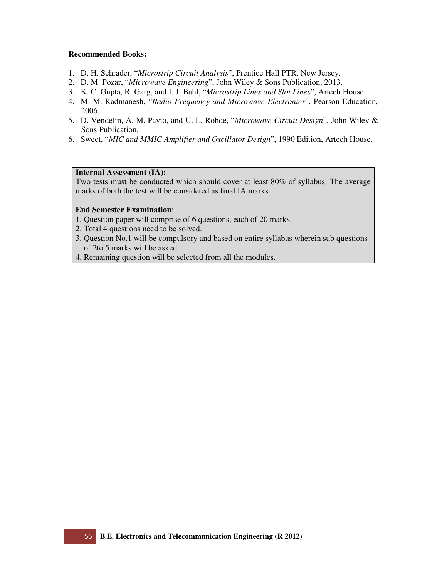- 1. D. H. Schrader, "*Microstrip Circuit Analysis*", Prentice Hall PTR, New Jersey.
- 2. D. M. Pozar, "*Microwave Engineering*", John Wiley & Sons Publication, 2013.
- 3. K. C. Gupta, R. Garg, and I. J. Bahl, "*Microstrip Lines and Slot Lines*", Artech House.
- 4. M. M. Radmanesh, "*Radio Frequency and Microwave Electronics*", Pearson Education, 2006.
- 5. D. Vendelin, A. M. Pavio, and U. L. Rohde, "*Microwave Circuit Design*", John Wiley & Sons Publication.
- 6. Sweet, "*MIC and MMIC Amplifier and Oscillator Design*", 1990 Edition, Artech House.

# **Internal Assessment (IA):**

Two tests must be conducted which should cover at least 80% of syllabus. The average marks of both the test will be considered as final IA marks

- 1. Question paper will comprise of 6 questions, each of 20 marks.
- 2. Total 4 questions need to be solved.
- 3. Question No.1 will be compulsory and based on entire syllabus wherein sub questions of 2to 5 marks will be asked.
- 4. Remaining question will be selected from all the modules.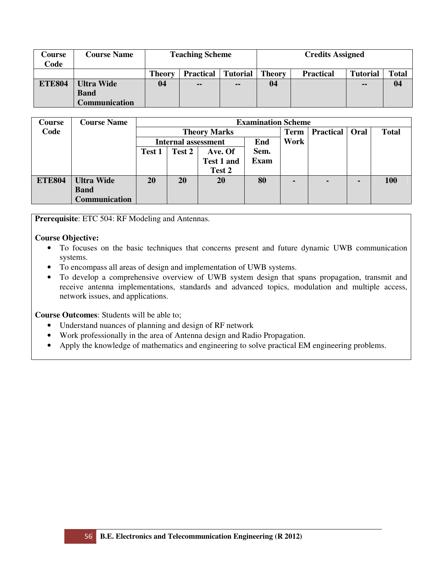| Course<br>Code | <b>Course Name</b>   | <b>Teaching Scheme</b>                               |               |               |               | <b>Credits Assigned</b> |                 |       |
|----------------|----------------------|------------------------------------------------------|---------------|---------------|---------------|-------------------------|-----------------|-------|
|                |                      | <b>Tutorial</b><br><b>Practical</b><br><b>Theory</b> |               |               | <b>Theory</b> | <b>Practical</b>        | <b>Tutorial</b> | Total |
| <b>ETE804</b>  | <b>Ultra Wide</b>    | 04                                                   | $\sim$ $\sim$ | $\sim$ $\sim$ | 04            |                         | --              | 04    |
|                | <b>Band</b>          |                                                      |               |               |               |                         |                 |       |
|                | <b>Communication</b> |                                                      |               |               |               |                         |                 |       |

| <b>Course</b> | <b>Course Name</b> |        |                            |                     | <b>Examination Scheme</b> |             |                         |              |
|---------------|--------------------|--------|----------------------------|---------------------|---------------------------|-------------|-------------------------|--------------|
| Code          |                    |        |                            | <b>Theory Marks</b> |                           | <b>Term</b> | <b>Practical   Oral</b> | <b>Total</b> |
|               |                    |        | <b>Internal assessment</b> |                     | Work                      |             |                         |              |
|               |                    | Test 1 | Test 2                     | Ave. Of             | Sem.                      |             |                         |              |
|               |                    |        |                            | <b>Test 1 and</b>   | Exam                      |             |                         |              |
|               |                    |        |                            | Test 2              |                           |             |                         |              |
| <b>ETE804</b> | <b>Ultra Wide</b>  | 20     | <b>20</b>                  | <b>20</b>           | 80                        | -           |                         | <b>100</b>   |
|               | <b>Band</b>        |        |                            |                     |                           |             |                         |              |
|               | Communication      |        |                            |                     |                           |             |                         |              |

**Prerequisite**: ETC 504: RF Modeling and Antennas.

# **Course Objective:**

- To focuses on the basic techniques that concerns present and future dynamic UWB communication systems.
- To encompass all areas of design and implementation of UWB systems.
- To develop a comprehensive overview of UWB system design that spans propagation, transmit and receive antenna implementations, standards and advanced topics, modulation and multiple access, network issues, and applications.

**Course Outcomes**: Students will be able to;

- Understand nuances of planning and design of RF network
- Work professionally in the area of Antenna design and Radio Propagation.
- Apply the knowledge of mathematics and engineering to solve practical EM engineering problems.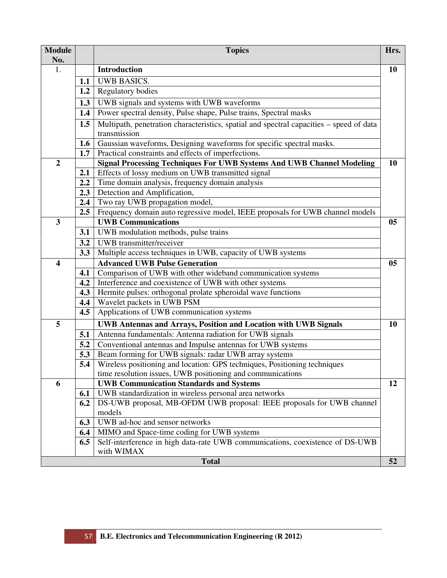| <b>Module</b><br>No.    |               | <b>Topics</b>                                                                                                   | Hrs.      |
|-------------------------|---------------|-----------------------------------------------------------------------------------------------------------------|-----------|
| 1.                      |               | <b>Introduction</b>                                                                                             | <b>10</b> |
|                         | 1.1           | <b>UWB BASICS.</b>                                                                                              |           |
|                         | 1.2           | <b>Regulatory bodies</b>                                                                                        |           |
|                         |               |                                                                                                                 |           |
|                         | 1.3<br>1.4    | UWB signals and systems with UWB waveforms<br>Power spectral density, Pulse shape, Pulse trains, Spectral masks |           |
|                         |               |                                                                                                                 |           |
|                         | 1.5           | Multipath, penetration characteristics, spatial and spectral capacities – speed of data<br>transmission         |           |
|                         | 1.6           | Gaussian waveforms, Designing waveforms for specific spectral masks.                                            |           |
|                         | 1.7           | Practical constraints and effects of imperfections.                                                             |           |
| $\boldsymbol{2}$        |               | <b>Signal Processing Techniques For UWB Systems And UWB Channel Modeling</b>                                    | 10        |
|                         | 2.1           | Effects of lossy medium on UWB transmitted signal                                                               |           |
|                         | 2.2           | Time domain analysis, frequency domain analysis                                                                 |           |
|                         | 2.3           | Detection and Amplification,                                                                                    |           |
|                         | 2.4           | Two ray UWB propagation model,                                                                                  |           |
|                         | $2.5^{\circ}$ | Frequency domain auto regressive model, IEEE proposals for UWB channel models                                   |           |
| $\overline{\mathbf{3}}$ |               | <b>UWB Communications</b>                                                                                       | 05        |
|                         | 3.1           | UWB modulation methods, pulse trains                                                                            |           |
|                         | 3.2           | UWB transmitter/receiver                                                                                        |           |
|                         | 3.3           | Multiple access techniques in UWB, capacity of UWB systems                                                      |           |
| $\overline{\mathbf{4}}$ |               | <b>Advanced UWB Pulse Generation</b>                                                                            | 05        |
|                         | 4.1           | Comparison of UWB with other wideband communication systems                                                     |           |
|                         | 4.2           | Interference and coexistence of UWB with other systems                                                          |           |
|                         | 4.3           | Hermite pulses: orthogonal prolate spheroidal wave functions                                                    |           |
|                         | 4.4           | Wavelet packets in UWB PSM                                                                                      |           |
|                         | 4.5           | Applications of UWB communication systems                                                                       |           |
| 5                       |               | <b>UWB Antennas and Arrays, Position and Location with UWB Signals</b>                                          | 10        |
|                         | 5.1           | Antenna fundamentals: Antenna radiation for UWB signals                                                         |           |
|                         | 5.2           | Conventional antennas and Impulse antennas for UWB systems                                                      |           |
|                         | 5.3           | Beam forming for UWB signals: radar UWB array systems                                                           |           |
|                         | 5.4           | Wireless positioning and location: GPS techniques, Positioning techniques                                       |           |
|                         |               | time resolution issues, UWB positioning and communications                                                      |           |
| 6                       |               | <b>UWB Communication Standards and Systems</b>                                                                  | 12        |
|                         | 6.1           | UWB standardization in wireless personal area networks                                                          |           |
|                         | 6.2           | DS-UWB proposal, MB-OFDM UWB proposal: IEEE proposals for UWB channel                                           |           |
|                         |               | models                                                                                                          |           |
|                         | 6.3           | UWB ad-hoc and sensor networks                                                                                  |           |
|                         | 6.4           | MIMO and Space-time coding for UWB systems                                                                      |           |
|                         | 6.5           | Self-interference in high data-rate UWB communications, coexistence of DS-UWB<br>with WIMAX                     |           |
|                         |               | <b>Total</b>                                                                                                    | 52        |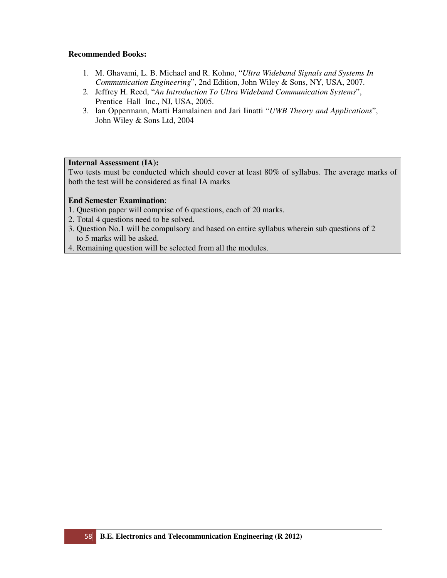- 1. M. Ghavami, L. B. Michael and R. Kohno, "*Ultra Wideband Signals and Systems In Communication Engineering*", 2nd Edition, John Wiley & Sons, NY, USA, 2007.
- 2. Jeffrey H. Reed, "*An Introduction To Ultra Wideband Communication Systems*", Prentice Hall Inc., NJ, USA, 2005.
- 3. Ian Oppermann, Matti Hamalainen and Jari Iinatti "*UWB Theory and Applications*", John Wiley & Sons Ltd, 2004

# **Internal Assessment (IA):**

Two tests must be conducted which should cover at least 80% of syllabus. The average marks of both the test will be considered as final IA marks

- 1. Question paper will comprise of 6 questions, each of 20 marks.
- 2. Total 4 questions need to be solved.
- 3. Question No.1 will be compulsory and based on entire syllabus wherein sub questions of 2 to 5 marks will be asked.
- 4. Remaining question will be selected from all the modules.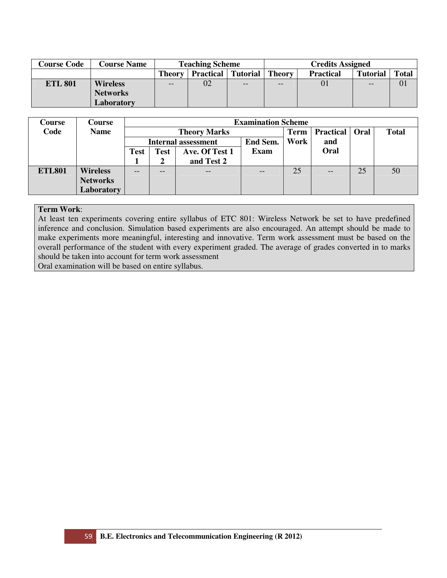| <b>Course Code</b> | <b>Course Name</b> |                                                | <b>Teaching Scheme</b> |                   |               | <b>Credits Assigned</b> |                 | <b>Total</b><br>01 |  |  |
|--------------------|--------------------|------------------------------------------------|------------------------|-------------------|---------------|-------------------------|-----------------|--------------------|--|--|
|                    |                    | <b>Practical   Tutorial  </b><br><b>Theory</b> |                        |                   | <b>Theory</b> | <b>Practical</b>        | <b>Tutorial</b> |                    |  |  |
| <b>ETL 801</b>     | <b>Wireless</b>    | $- -$                                          | 02                     | $\qquad \qquad -$ | $- -$         |                         | $- -$           |                    |  |  |
|                    | <b>Networks</b>    |                                                |                        |                   |               |                         |                 |                    |  |  |
|                    | Laboratory         |                                                |                        |                   |               |                         |                 |                    |  |  |

| Course        | <b>Course</b>   |             | <b>Examination Scheme</b> |                            |             |                  |      |              |    |  |  |
|---------------|-----------------|-------------|---------------------------|----------------------------|-------------|------------------|------|--------------|----|--|--|
| Code          | <b>Name</b>     |             |                           | <b>Theory Marks</b>        | <b>Term</b> | <b>Practical</b> | Oral | <b>Total</b> |    |  |  |
|               |                 |             |                           | <b>Internal assessment</b> | Work        | and              |      |              |    |  |  |
|               |                 | <b>Test</b> | Test                      | Ave. Of Test 1             | <b>Exam</b> |                  | Oral |              |    |  |  |
|               |                 |             |                           | and Test 2                 |             |                  |      |              |    |  |  |
| <b>ETL801</b> | <b>Wireless</b> | --          | --                        | $-$                        | $- -$       | 25               | --   | 25           | 50 |  |  |
|               | <b>Networks</b> |             |                           |                            |             |                  |      |              |    |  |  |
|               | Laboratory      |             |                           |                            |             |                  |      |              |    |  |  |

At least ten experiments covering entire syllabus of ETC 801: Wireless Network be set to have predefined inference and conclusion. Simulation based experiments are also encouraged. An attempt should be made to make experiments more meaningful, interesting and innovative. Term work assessment must be based on the overall performance of the student with every experiment graded. The average of grades converted in to marks should be taken into account for term work assessment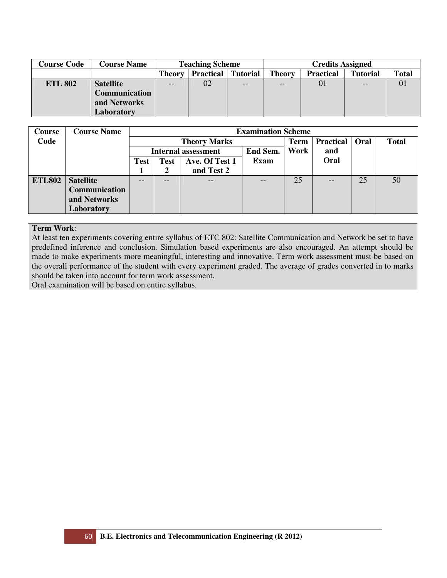| <b>Course Code</b> | <b>Course Name</b> | <b>Teaching Scheme</b>                               |    |       |               | <b>Credits Assigned</b> |                 |              |
|--------------------|--------------------|------------------------------------------------------|----|-------|---------------|-------------------------|-----------------|--------------|
|                    |                    | <b>Practical</b><br><b>Tutorial</b><br><b>Theory</b> |    |       | <b>Theory</b> | <b>Practical</b>        | <b>Tutorial</b> | <b>Total</b> |
| <b>ETL 802</b>     | <b>Satellite</b>   | $-$                                                  | 02 | $- -$ | --            | 01                      | $- -$           | 01           |
|                    | Communication      |                                                      |    |       |               |                         |                 |              |
|                    | and Networks       |                                                      |    |       |               |                         |                 |              |
|                    | Laboratory         |                                                      |    |       |               |                         |                 |              |

| Course        | <b>Course Name</b>   |                                                | <b>Examination Scheme</b> |                     |             |                  |                   |              |    |  |  |
|---------------|----------------------|------------------------------------------------|---------------------------|---------------------|-------------|------------------|-------------------|--------------|----|--|--|
| Code          |                      |                                                |                           | <b>Theory Marks</b> | <b>Term</b> | <b>Practical</b> | Oral              | <b>Total</b> |    |  |  |
|               |                      | Work<br>End Sem.<br><b>Internal assessment</b> |                           |                     |             |                  | and               |              |    |  |  |
|               |                      | <b>Test</b>                                    | <b>Test</b>               | Ave. Of Test 1      | Exam        |                  | Oral              |              |    |  |  |
|               |                      |                                                | and Test 2<br>2           |                     |             |                  |                   |              |    |  |  |
| <b>ETL802</b> | <b>Satellite</b>     | $-$                                            | --                        | $ -$                |             | 25               | $\qquad \qquad -$ | 25           | 50 |  |  |
|               | <b>Communication</b> |                                                |                           |                     |             |                  |                   |              |    |  |  |
|               | and Networks         |                                                |                           |                     |             |                  |                   |              |    |  |  |
|               | Laboratory           |                                                |                           |                     |             |                  |                   |              |    |  |  |

At least ten experiments covering entire syllabus of ETC 802: Satellite Communication and Network be set to have predefined inference and conclusion. Simulation based experiments are also encouraged. An attempt should be made to make experiments more meaningful, interesting and innovative. Term work assessment must be based on the overall performance of the student with every experiment graded. The average of grades converted in to marks should be taken into account for term work assessment.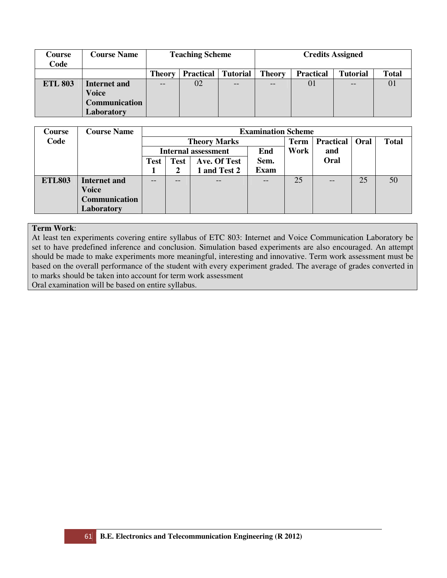| Course<br>Code | <b>Course Name</b>   | <b>Teaching Scheme</b>                               |    |    |               | <b>Credits Assigned</b> |                 |                |  |
|----------------|----------------------|------------------------------------------------------|----|----|---------------|-------------------------|-----------------|----------------|--|
|                |                      | <b>Practical</b><br><b>Tutorial</b><br><b>Theory</b> |    |    | <b>Theory</b> | <b>Practical</b>        | <b>Tutorial</b> | <b>Total</b>   |  |
| <b>ETL 803</b> | Internet and         | --                                                   | 02 | -- |               | 01                      |                 | $\overline{0}$ |  |
|                | <b>Voice</b>         |                                                      |    |    |               |                         |                 |                |  |
|                | <b>Communication</b> |                                                      |    |    |               |                         |                 |                |  |
|                | Laboratory           |                                                      |    |    |               |                         |                 |                |  |

| Course        | <b>Course Name</b>   |             | <b>Examination Scheme</b> |                            |             |             |                  |      |              |  |  |
|---------------|----------------------|-------------|---------------------------|----------------------------|-------------|-------------|------------------|------|--------------|--|--|
| Code          |                      |             |                           | <b>Theory Marks</b>        |             | <b>Term</b> | <b>Practical</b> | Oral | <b>Total</b> |  |  |
|               |                      |             |                           | <b>Internal assessment</b> | Work        | and         |                  |      |              |  |  |
|               |                      | <b>Test</b> | <b>Test</b>               | Ave. Of Test               | Sem.        |             | Oral             |      |              |  |  |
|               |                      |             | 2                         | 1 and Test 2               | <b>Exam</b> |             |                  |      |              |  |  |
| <b>ETL803</b> | <b>Internet and</b>  | $- -$       | $\qquad \qquad -$         | $\qquad \qquad -$          |             | 25          | $- -$            | 25   | 50           |  |  |
|               | <b>Voice</b>         |             |                           |                            |             |             |                  |      |              |  |  |
|               | <b>Communication</b> |             |                           |                            |             |             |                  |      |              |  |  |
|               | Laboratory           |             |                           |                            |             |             |                  |      |              |  |  |

At least ten experiments covering entire syllabus of ETC 803: Internet and Voice Communication Laboratory be set to have predefined inference and conclusion. Simulation based experiments are also encouraged. An attempt should be made to make experiments more meaningful, interesting and innovative. Term work assessment must be based on the overall performance of the student with every experiment graded. The average of grades converted in to marks should be taken into account for term work assessment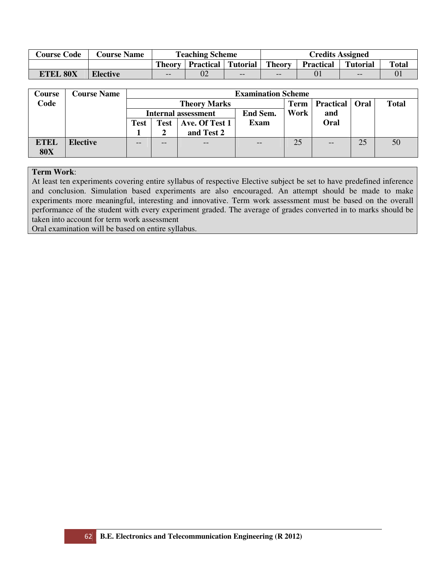| <b>Course Code</b> | <b>Course Name</b> | <b>Teaching Scheme</b>                     |  |       |               |                  | <b>Credits Assigned</b> |              |  |  |  |
|--------------------|--------------------|--------------------------------------------|--|-------|---------------|------------------|-------------------------|--------------|--|--|--|
|                    |                    | <b>Practical Tutorial</b><br><b>Theory</b> |  |       | <b>Theory</b> | <b>Practical</b> | <b>Tutorial</b>         | <b>Total</b> |  |  |  |
| <b>ETEL 80X</b>    | <b>Elective</b>    | $- -$                                      |  | $- -$ | $- -$         | 01               | $- -$                   |              |  |  |  |

| Course      | <b>Course Name</b> |                                       | <b>Examination Scheme</b> |                     |             |                  |             |              |    |  |  |  |
|-------------|--------------------|---------------------------------------|---------------------------|---------------------|-------------|------------------|-------------|--------------|----|--|--|--|
| Code        |                    |                                       |                           | <b>Theory Marks</b> | Term        | <b>Practical</b> | <b>Oral</b> | <b>Total</b> |    |  |  |  |
|             |                    |                                       |                           | Internal assessment | Work        | and              |             |              |    |  |  |  |
|             |                    | Ave. Of Test 1<br><b>Test</b><br>Test |                           |                     | <b>Exam</b> |                  | Oral        |              |    |  |  |  |
|             |                    |                                       |                           | and Test 2          |             |                  |             |              |    |  |  |  |
| <b>ETEL</b> | <b>Elective</b>    | $- -$                                 |                           | --                  | --          | 25               |             | 25           | 50 |  |  |  |
| <b>80X</b>  |                    |                                       |                           |                     |             |                  |             |              |    |  |  |  |

At least ten experiments covering entire syllabus of respective Elective subject be set to have predefined inference and conclusion. Simulation based experiments are also encouraged. An attempt should be made to make experiments more meaningful, interesting and innovative. Term work assessment must be based on the overall performance of the student with every experiment graded. The average of grades converted in to marks should be taken into account for term work assessment